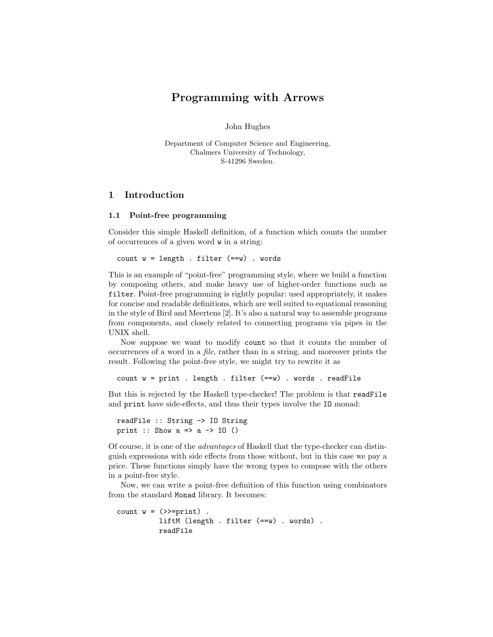# Programming with Arrows

John Hughes

Department of Computer Science and Engineering, Chalmers University of Technology, S-41296 Sweden.

## 1 Introduction

### 1.1 Point-free programming

Consider this simple Haskell definition, of a function which counts the number of occurrences of a given word w in a string:

count  $w = length$ . filter  $(==w)$ . words

This is an example of "point-free" programming style, where we build a function by composing others, and make heavy use of higher-order functions such as filter. Point-free programming is rightly popular: used appropriately, it makes for concise and readable definitions, which are well suited to equational reasoning in the style of Bird and Meertens [2]. It's also a natural way to assemble programs from components, and closely related to connecting programs via pipes in the UNIX shell.

Now suppose we want to modify count so that it counts the number of occurrences of a word in a file, rather than in a string, and moreover prints the result. Following the point-free style, we might try to rewrite it as

```
count w = print. length. filter (==w). words. readFile
```
But this is rejected by the Haskell type-checker! The problem is that readFile and print have side-effects, and thus their types involve the IO monad:

```
readFile :: String -> IO String
print :: Show a \Rightarrow a \Rightarrow 10 ()
```
Of course, it is one of the advantages of Haskell that the type-checker can distinguish expressions with side effects from those without, but in this case we pay a price. These functions simply have the wrong types to compose with the others in a point-free style.

Now, we can write a point-free definition of this function using combinators from the standard Monad library. It becomes:

```
count w = (\gg=print).
          liftM (length . filter (==w) . words) .
          readFile
```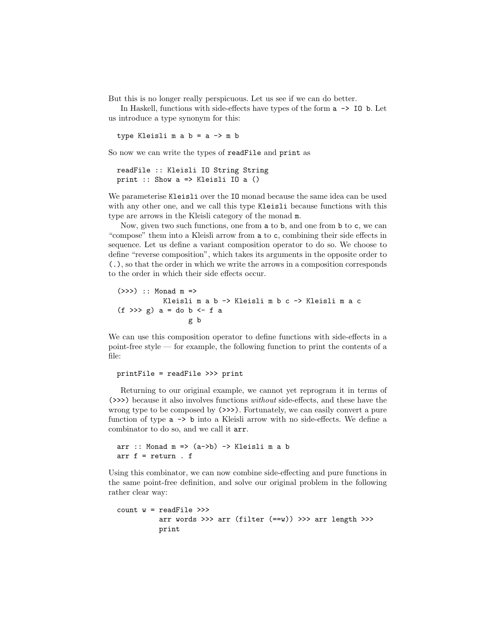But this is no longer really perspicuous. Let us see if we can do better.

In Haskell, functions with side-effects have types of the form a -> IO b. Let us introduce a type synonym for this:

type Kleisli m a b = a -> m b

So now we can write the types of readFile and print as

```
readFile :: Kleisli IO String String
print :: Show a => Kleisli IO a ()
```
We parameterise Kleisli over the IO monad because the same idea can be used with any other one, and we call this type Kleisli because functions with this type are arrows in the Kleisli category of the monad m.

Now, given two such functions, one from a to b, and one from b to c, we can "compose" them into a Kleisli arrow from a to c, combining their side effects in sequence. Let us define a variant composition operator to do so. We choose to define "reverse composition", which takes its arguments in the opposite order to (.), so that the order in which we write the arrows in a composition corresponds to the order in which their side effects occur.

```
(\gg) :: Monad m =>
           Kleisli m a b -> Kleisli m b c -> Kleisli m a c
(f >>> g) a = do b <- f a
                 g b
```
We can use this composition operator to define functions with side-effects in a point-free style — for example, the following function to print the contents of a file:

```
printFile = readFile >>> print
```
Returning to our original example, we cannot yet reprogram it in terms of (>>>) because it also involves functions without side-effects, and these have the wrong type to be composed by (>>>). Fortunately, we can easily convert a pure function of type a -> b into a Kleisli arrow with no side-effects. We define a combinator to do so, and we call it arr.

```
arr :: Monad m \Rightarrow (a \rightarrow b) \Rightarrow Kleisli m a b
arr f = return. f
```
Using this combinator, we can now combine side-effecting and pure functions in the same point-free definition, and solve our original problem in the following rather clear way:

```
count w = readFile >>>
          arr words >>> arr (filter (==w)) >>> arr length >>>
         print
```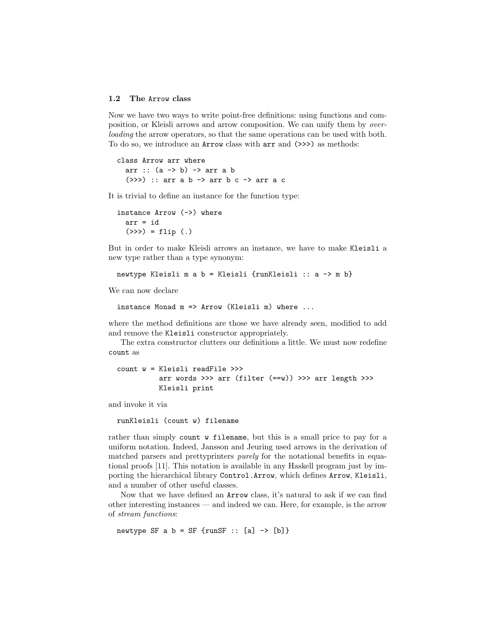### 1.2 The Arrow class

Now we have two ways to write point-free definitions: using functions and composition, or Kleisli arrows and arrow composition. We can unify them by overloading the arrow operators, so that the same operations can be used with both. To do so, we introduce an Arrow class with arr and (>>>) as methods:

```
class Arrow arr where
  arr :: (a \rightarrow b) \rightarrow arr a b(\gg\gg) :: arr a b -> arr b c -> arr a c
```
It is trivial to define an instance for the function type:

```
instance Arrow (->) where
  arr = id
  (\gg) = \text{flip} (.)
```
But in order to make Kleisli arrows an instance, we have to make Kleisli a new type rather than a type synonym:

newtype Kleisli m a b = Kleisli {runKleisli :: a -> m b}

We can now declare

```
instance Monad m => Arrow (Kleisli m) where ...
```
where the method definitions are those we have already seen, modified to add and remove the Kleisli constructor appropriately.

The extra constructor clutters our definitions a little. We must now redefine count as

```
count w = Kleisli readFile >>>
          arr words \gg arr (filter (==w)) \gg arr length \ggKleisli print
```
and invoke it via

```
runKleisli (count w) filename
```
rather than simply count w filename, but this is a small price to pay for a uniform notation. Indeed, Jansson and Jeuring used arrows in the derivation of matched parsers and prettyprinters *purely* for the notational benefits in equational proofs [11]. This notation is available in any Haskell program just by importing the hierarchical library Control.Arrow, which defines Arrow, Kleisli, and a number of other useful classes.

Now that we have defined an Arrow class, it's natural to ask if we can find other interesting instances — and indeed we can. Here, for example, is the arrow of stream functions:

newtype SF a  $b = SF$  {runSF :: [a] -> [b]}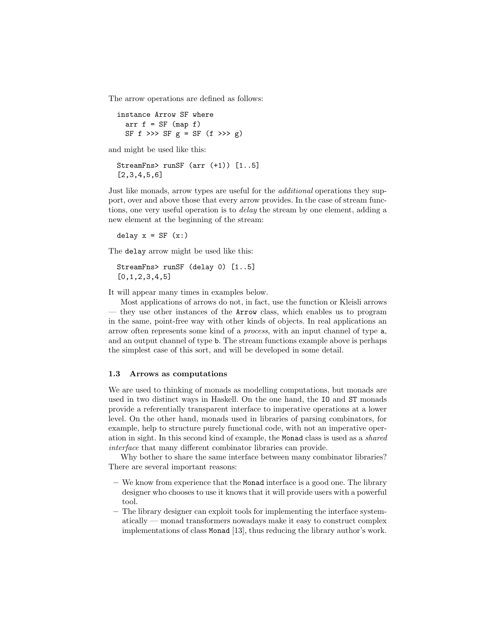The arrow operations are defined as follows:

instance Arrow SF where  $arr f = SF (map f)$ SF f  $\gg$  SF g = SF (f  $\gg$  g)

and might be used like this:

```
StreamFns> runSF (arr (+1)) [1..5]
[2,3,4,5,6]
```
Just like monads, arrow types are useful for the additional operations they support, over and above those that every arrow provides. In the case of stream functions, one very useful operation is to *delay* the stream by one element, adding a new element at the beginning of the stream:

delay  $x = SF (x:)$ 

The delay arrow might be used like this:

StreamFns> runSF (delay 0) [1..5]  $[0,1,2,3,4,5]$ 

It will appear many times in examples below.

Most applications of arrows do not, in fact, use the function or Kleisli arrows — they use other instances of the Arrow class, which enables us to program in the same, point-free way with other kinds of objects. In real applications an arrow often represents some kind of a process, with an input channel of type a, and an output channel of type b. The stream functions example above is perhaps the simplest case of this sort, and will be developed in some detail.

### 1.3 Arrows as computations

We are used to thinking of monads as modelling computations, but monads are used in two distinct ways in Haskell. On the one hand, the IO and ST monads provide a referentially transparent interface to imperative operations at a lower level. On the other hand, monads used in libraries of parsing combinators, for example, help to structure purely functional code, with not an imperative operation in sight. In this second kind of example, the Monad class is used as a shared interface that many different combinator libraries can provide.

Why bother to share the same interface between many combinator libraries? There are several important reasons:

- We know from experience that the Monad interface is a good one. The library designer who chooses to use it knows that it will provide users with a powerful tool.
- The library designer can exploit tools for implementing the interface systematically — monad transformers nowadays make it easy to construct complex implementations of class Monad [13], thus reducing the library author's work.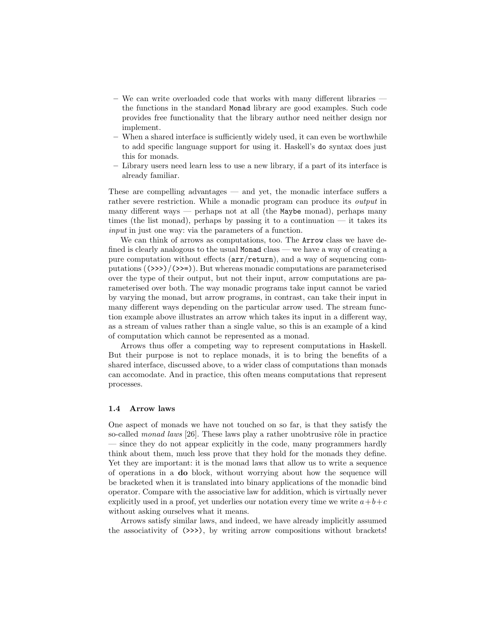- We can write overloaded code that works with many different libraries the functions in the standard Monad library are good examples. Such code provides free functionality that the library author need neither design nor implement.
- When a shared interface is sufficiently widely used, it can even be worthwhile to add specific language support for using it. Haskell's do syntax does just this for monads.
- Library users need learn less to use a new library, if a part of its interface is already familiar.

These are compelling advantages — and yet, the monadic interface suffers a rather severe restriction. While a monadic program can produce its output in many different ways — perhaps not at all (the Maybe monad), perhaps many times (the list monad), perhaps by passing it to a continuation  $-$  it takes its input in just one way: via the parameters of a function.

We can think of arrows as computations, too. The Arrow class we have defined is clearly analogous to the usual Monad class — we have a way of creating a pure computation without effects (arr/return), and a way of sequencing computations  $((\gg\gg)/(\gg=))$ . But whereas monadic computations are parameterised over the type of their output, but not their input, arrow computations are parameterised over both. The way monadic programs take input cannot be varied by varying the monad, but arrow programs, in contrast, can take their input in many different ways depending on the particular arrow used. The stream function example above illustrates an arrow which takes its input in a different way, as a stream of values rather than a single value, so this is an example of a kind of computation which cannot be represented as a monad.

Arrows thus offer a competing way to represent computations in Haskell. But their purpose is not to replace monads, it is to bring the benefits of a shared interface, discussed above, to a wider class of computations than monads can accomodate. And in practice, this often means computations that represent processes.

### 1.4 Arrow laws

One aspect of monads we have not touched on so far, is that they satisfy the so-called *monad laws* [26]. These laws play a rather unobtrusive rôle in practice — since they do not appear explicitly in the code, many programmers hardly think about them, much less prove that they hold for the monads they define. Yet they are important: it is the monad laws that allow us to write a sequence of operations in a do block, without worrying about how the sequence will be bracketed when it is translated into binary applications of the monadic bind operator. Compare with the associative law for addition, which is virtually never explicitly used in a proof, yet underlies our notation every time we write  $a+b+c$ without asking ourselves what it means.

Arrows satisfy similar laws, and indeed, we have already implicitly assumed the associativity of (>>>), by writing arrow compositions without brackets!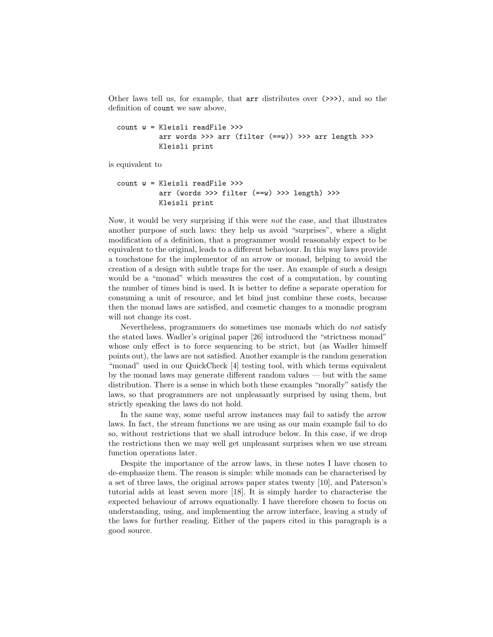Other laws tell us, for example, that arr distributes over (>>>), and so the definition of count we saw above,

```
count w = Kleisli readFile >>>
          arr words >>> arr (filter (==w)) >>> arr length >>>
          Kleisli print
```
is equivalent to

```
count w = Kleisli readFile >>>
          arr (words >>> filter (==w) >>> length) >>>
          Kleisli print
```
Now, it would be very surprising if this were not the case, and that illustrates another purpose of such laws: they help us avoid "surprises", where a slight modification of a definition, that a programmer would reasonably expect to be equivalent to the original, leads to a different behaviour. In this way laws provide a touchstone for the implementor of an arrow or monad, helping to avoid the creation of a design with subtle traps for the user. An example of such a design would be a "monad" which measures the cost of a computation, by counting the number of times bind is used. It is better to define a separate operation for consuming a unit of resource, and let bind just combine these costs, because then the monad laws are satisfied, and cosmetic changes to a monadic program will not change its cost.

Nevertheless, programmers do sometimes use monads which do not satisfy the stated laws. Wadler's original paper [26] introduced the "strictness monad" whose only effect is to force sequencing to be strict, but (as Wadler himself points out), the laws are not satisfied. Another example is the random generation "monad" used in our QuickCheck [4] testing tool, with which terms equivalent by the monad laws may generate different random values — but with the same distribution. There is a sense in which both these examples "morally" satisfy the laws, so that programmers are not unpleasantly surprised by using them, but strictly speaking the laws do not hold.

In the same way, some useful arrow instances may fail to satisfy the arrow laws. In fact, the stream functions we are using as our main example fail to do so, without restrictions that we shall introduce below. In this case, if we drop the restrictions then we may well get unpleasant surprises when we use stream function operations later.

Despite the importance of the arrow laws, in these notes I have chosen to de-emphasize them. The reason is simple: while monads can be characterised by a set of three laws, the original arrows paper states twenty [10], and Paterson's tutorial adds at least seven more [18]. It is simply harder to characterise the expected behaviour of arrows equationally. I have therefore chosen to focus on understanding, using, and implementing the arrow interface, leaving a study of the laws for further reading. Either of the papers cited in this paragraph is a good source.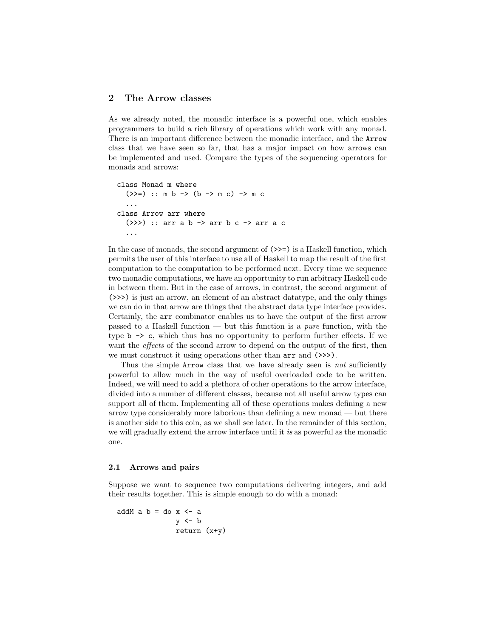## 2 The Arrow classes

As we already noted, the monadic interface is a powerful one, which enables programmers to build a rich library of operations which work with any monad. There is an important difference between the monadic interface, and the Arrow class that we have seen so far, that has a major impact on how arrows can be implemented and used. Compare the types of the sequencing operators for monads and arrows:

```
class Monad m where
  (\gg)=) :: m b -> (b -> m c) -> m c
  ...
class Arrow arr where
  (\gg\gg) :: arr a b -> arr b c -> arr a c
  ...
```
In the case of monads, the second argument of (>>=) is a Haskell function, which permits the user of this interface to use all of Haskell to map the result of the first computation to the computation to be performed next. Every time we sequence two monadic computations, we have an opportunity to run arbitrary Haskell code in between them. But in the case of arrows, in contrast, the second argument of (>>>) is just an arrow, an element of an abstract datatype, and the only things we can do in that arrow are things that the abstract data type interface provides. Certainly, the arr combinator enables us to have the output of the first arrow passed to a Haskell function — but this function is a *pure* function, with the type  $\mathbf{b} \rightarrow \mathbf{c}$ , which thus has no opportunity to perform further effects. If we want the *effects* of the second arrow to depend on the output of the first, then we must construct it using operations other than  $arr$  and  $(\gg)$ .

Thus the simple **Arrow** class that we have already seen is not sufficiently powerful to allow much in the way of useful overloaded code to be written. Indeed, we will need to add a plethora of other operations to the arrow interface, divided into a number of different classes, because not all useful arrow types can support all of them. Implementing all of these operations makes defining a new arrow type considerably more laborious than defining a new monad — but there is another side to this coin, as we shall see later. In the remainder of this section, we will gradually extend the arrow interface until it is as powerful as the monadic one.

### 2.1 Arrows and pairs

Suppose we want to sequence two computations delivering integers, and add their results together. This is simple enough to do with a monad:

addM  $a$   $b =$  do  $x$   $\leftarrow$   $a$  $y \le - b$ return (x+y)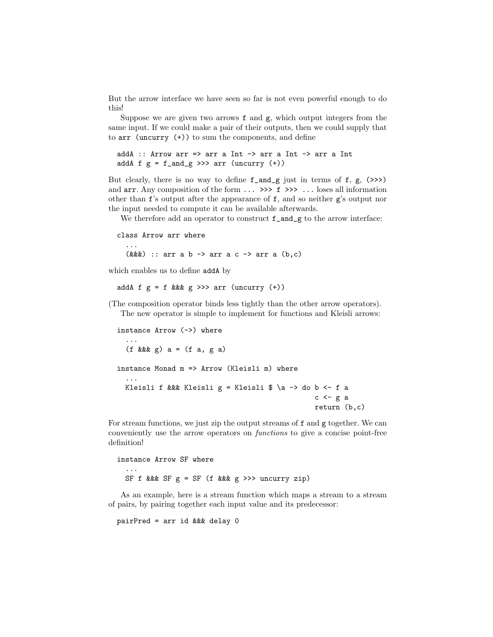But the arrow interface we have seen so far is not even powerful enough to do this!

Suppose we are given two arrows f and g, which output integers from the same input. If we could make a pair of their outputs, then we could supply that to arr (uncurry (+)) to sum the components, and define

```
addA :: Arrow arr => arr a Int -> arr a Int -> arr a Int
addA f g = f_and_g \gg\text{~arr} (uncurry (+))
```
But clearly, there is no way to define  $f_{andg}$  just in terms of  $f, g, (\ggg)$ and  $arr$ . Any composition of the form  $\ldots$  >>>  $f \gg$  ... loses all information other than f's output after the appearance of f, and so neither g's output nor the input needed to compute it can be available afterwards.

We therefore add an operator to construct  $f$  and  $g$  to the arrow interface:

```
class Arrow arr where
  ...
  (kkk) :: arr a b -> arr a c -> arr a (b, c)
```
which enables us to define addA by

```
addA f g = f &&& g \gg arr (uncurry (+))
```
(The composition operator binds less tightly than the other arrow operators). The new operator is simple to implement for functions and Kleisli arrows:

```
instance Arrow (->) where
  ...
  (f &&& g) a = (f a, g a)
instance Monad m => Arrow (Kleisli m) where
  ...
  Kleisli f &&& Kleisli g = Kleisli $ \a -> do b <- f a
                                                  c \leftarrow g areturn (b,c)
```
For stream functions, we just zip the output streams of f and g together. We can conveniently use the arrow operators on functions to give a concise point-free definition!

```
instance Arrow SF where
  ...
 SF f &&& SF g = SF (f &&& g \gg\ uncurry zip)
```
As an example, here is a stream function which maps a stream to a stream of pairs, by pairing together each input value and its predecessor:

pairPred = arr id &&& delay 0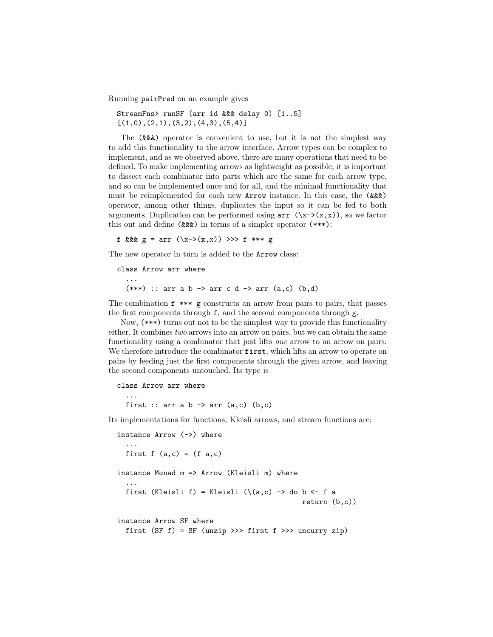Running pairPred on an example gives

```
StreamFns> runSF (arr id &&& delay 0) [1..5]
[(1,0),(2,1),(3,2),(4,3),(5,4)]
```
The (&&&) operator is convenient to use, but it is not the simplest way to add this functionality to the arrow interface. Arrow types can be complex to implement, and as we observed above, there are many operations that need to be defined. To make implementing arrows as lightweight as possible, it is important to dissect each combinator into parts which are the same for each arrow type, and so can be implemented once and for all, and the minimal functionality that must be reimplemented for each new Arrow instance. In this case, the (&&&) operator, among other things, duplicates the input so it can be fed to both arguments. Duplication can be performed using  $arr (\xrightarrow{x,x})$ , so we factor this out and define (&&&) in terms of a simpler operator (\*\*\*):

f &&&  $g = arr (\x> (x,x)) >> f *** g$ 

The new operator in turn is added to the Arrow class:

class Arrow arr where

...

...

 $(***)$  :: arr a b -> arr c d -> arr (a,c) (b,d)

The combination  $f \ast \ast \ast g$  constructs an arrow from pairs to pairs, that passes the first components through f, and the second components through g.

Now, (\*\*\*) turns out not to be the simplest way to provide this functionality either. It combines two arrows into an arrow on pairs, but we can obtain the same functionality using a combinator that just lifts *one* arrow to an arrow on pairs. We therefore introduce the combinator first, which lifts an arrow to operate on pairs by feeding just the first components through the given arrow, and leaving the second components untouched. Its type is

class Arrow arr where

first :: arr a  $b \rightarrow \text{arr}$  (a,c) (b,c)

Its implementations for functions, Kleisli arrows, and stream functions are:

```
instance Arrow (->) where
  ...
  first f(a,c) = (f(a,c))instance Monad m => Arrow (Kleisli m) where
  ...
  first (Kleisli f) = Kleisli (\setminus(a,c) -> do b <- f a
                                              return (b,c))
instance Arrow SF where
  first (SF f) = SF (unzip >>> first f >>> uncurry zip)
```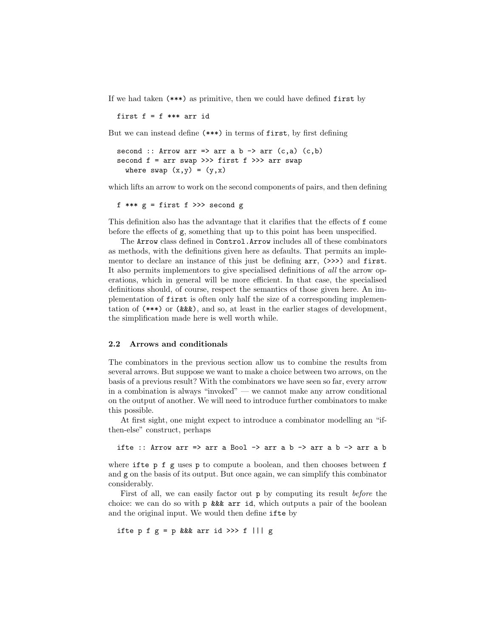If we had taken (\*\*\*) as primitive, then we could have defined first by

first  $f = f$  \*\*\* arr id

But we can instead define (\*\*\*) in terms of first, by first defining

```
second :: Arrow arr => arr a b -> arr (c, a) (c, b)second f = arr \, swap \gg\ first f \gg\ arr swap
 where swap (x,y) = (y,x)
```
which lifts an arrow to work on the second components of pairs, and then defining

f \*\*\*  $g =$  first f >>> second  $g$ 

This definition also has the advantage that it clarifies that the effects of f come before the effects of  $g$ , something that up to this point has been unspecified.

The Arrow class defined in Control.Arrow includes all of these combinators as methods, with the definitions given here as defaults. That permits an implementor to declare an instance of this just be defining  $arr$ , (>>>) and first. It also permits implementors to give specialised definitions of all the arrow operations, which in general will be more efficient. In that case, the specialised definitions should, of course, respect the semantics of those given here. An implementation of first is often only half the size of a corresponding implementation of (\*\*\*) or (&&&), and so, at least in the earlier stages of development, the simplification made here is well worth while.

## 2.2 Arrows and conditionals

The combinators in the previous section allow us to combine the results from several arrows. But suppose we want to make a choice between two arrows, on the basis of a previous result? With the combinators we have seen so far, every arrow in a combination is always "invoked" — we cannot make any arrow conditional on the output of another. We will need to introduce further combinators to make this possible.

At first sight, one might expect to introduce a combinator modelling an "ifthen-else" construct, perhaps

ifte :: Arrow arr => arr a Bool -> arr a b -> arr a b -> arr a b

where ifte p f g uses p to compute a boolean, and then chooses between f and g on the basis of its output. But once again, we can simplify this combinator considerably.

First of all, we can easily factor out p by computing its result before the choice: we can do so with p &&& arr id, which outputs a pair of the boolean and the original input. We would then define ifte by

ifte p f  $g = p$  &&& arr id >>> f |||  $g$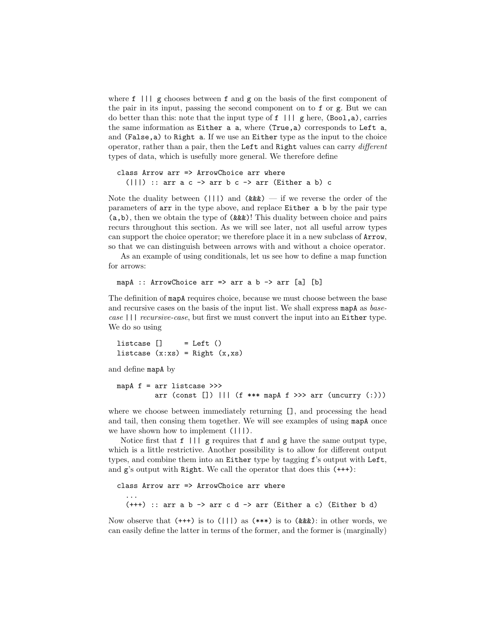where  $f$  ||  $g$  chooses between  $f$  and  $g$  on the basis of the first component of the pair in its input, passing the second component on to f or g. But we can do better than this: note that the input type of  $f \mid | \cdot | g \text{ here}, \text{ (Bool, a)}, \text{ carries}$ the same information as Either a a, where (True,a) corresponds to Left a, and (False,a) to Right a. If we use an Either type as the input to the choice operator, rather than a pair, then the Left and Right values can carry different types of data, which is usefully more general. We therefore define

```
class Arrow arr => ArrowChoice arr where
  (|||) :: arr a c -> arr b c -> arr (Either a b) c
```
Note the duality between  $(| \cdot |)$  and  $(k \& k)$  — if we reverse the order of the parameters of arr in the type above, and replace Either a b by the pair type  $(a, b)$ , then we obtain the type of  $(k \& k)$ ! This duality between choice and pairs recurs throughout this section. As we will see later, not all useful arrow types can support the choice operator; we therefore place it in a new subclass of Arrow, so that we can distinguish between arrows with and without a choice operator.

As an example of using conditionals, let us see how to define a map function for arrows:

```
mapA :: ArrowChoice arr => arr a b \rightarrow arr [a] [b]
```
The definition of mapA requires choice, because we must choose between the base and recursive cases on the basis of the input list. We shall express mapA as basecase ||| recursive-case, but first we must convert the input into an Either type. We do so using

```
listcase [] = Left ()listcase (x:xs) = Right (x,xs)
```
and define mapA by

```
mapA f = arr listcase >>>
         arr (const []) ||| (f *** mapA f >>> arr (uncurry (:)))
```
where we choose between immediately returning  $[]$ , and processing the head and tail, then consing them together. We will see examples of using mapA once we have shown how to implement  $(| \cdot |)$ .

Notice first that  $f \parallel \parallel g$  requires that  $f$  and  $g$  have the same output type, which is a little restrictive. Another possibility is to allow for different output types, and combine them into an Either type by tagging f's output with Left, and g's output with Right. We call the operator that does this (+++):

```
class Arrow arr => ArrowChoice arr where
  ...
  (***) :: arr a b -> arr c d -> arr (Either a c) (Either b d)
```
Now observe that  $(++)$  is to  $(|||)$  as  $(***)$  is to  $(\&\&\&\)&$ : in other words, we can easily define the latter in terms of the former, and the former is (marginally)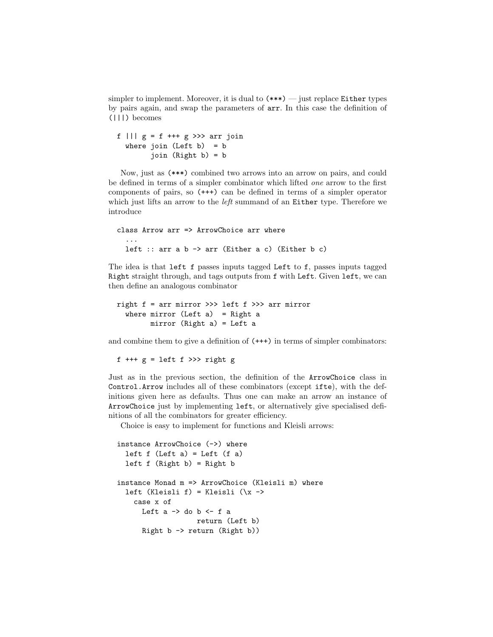simpler to implement. Moreover, it is dual to  $(***)$  — just replace Either types by pairs again, and swap the parameters of arr. In this case the definition of (|||) becomes

f  $||| g = f +++ g >> arr$  join where join  $(Left b) = b$ join (Right b) = b

Now, just as (\*\*\*) combined two arrows into an arrow on pairs, and could be defined in terms of a simpler combinator which lifted one arrow to the first components of pairs, so (+++) can be defined in terms of a simpler operator which just lifts an arrow to the *left* summand of an Either type. Therefore we introduce

```
class Arrow arr => ArrowChoice arr where
  ...
  left :: arr a b \rightarrow arr (Either a c) (Either b c)
```
The idea is that left f passes inputs tagged Left to f, passes inputs tagged Right straight through, and tags outputs from f with Left. Given left, we can then define an analogous combinator

```
right f = arr mirror >>> left f >>> arr mirror
  where mirror (Left a) = Right amirror (Right a) = Left a
```
and combine them to give a definition of (+++) in terms of simpler combinators:

```
f +++ g = left f \gg\ right g
```
Just as in the previous section, the definition of the ArrowChoice class in Control.Arrow includes all of these combinators (except ifte), with the definitions given here as defaults. Thus one can make an arrow an instance of ArrowChoice just by implementing left, or alternatively give specialised definitions of all the combinators for greater efficiency.

Choice is easy to implement for functions and Kleisli arrows:

```
instance ArrowChoice (->) where
  left f (Left a) = Left (f \ a)left f (Right b) = Right b
instance Monad m => ArrowChoice (Kleisli m) where
  left (Kleisli f) = Kleisli (\xrightarrow x \rightarrowcase x of
      Left a \rightarrow do b \leftarrow f areturn (Left b)
      Right b -> return (Right b))
```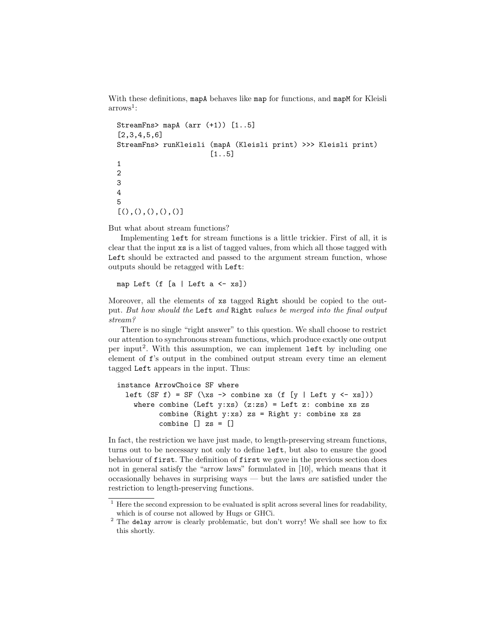With these definitions, mapA behaves like map for functions, and mapM for Kleisli  $\arrows$ <sup>1</sup>:

```
StreamFns> mapA (arr (+1)) [1..5]
[2,3,4,5,6]StreamFns> runKleisli (mapA (Kleisli print) >>> Kleisli print)
                       [1..5]
1
2
3
\Delta5
[(),(),(),(),()]
```
But what about stream functions?

Implementing left for stream functions is a little trickier. First of all, it is clear that the input xs is a list of tagged values, from which all those tagged with Left should be extracted and passed to the argument stream function, whose outputs should be retagged with Left:

```
map Left (f [a \mid \text{Left a} \leftarrow \text{xs}])
```
Moreover, all the elements of xs tagged Right should be copied to the output. But how should the Left and Right values be merged into the final output stream?

There is no single "right answer" to this question. We shall choose to restrict our attention to synchronous stream functions, which produce exactly one output per input<sup>2</sup>. With this assumption, we can implement left by including one element of f's output in the combined output stream every time an element tagged Left appears in the input. Thus:

```
instance ArrowChoice SF where
  left (SF f) = SF (\xis -> combine xs (f [y | Left y <- xs]))
   where combine (Left y:xs) (z:zs) = Left z: combine xs zs
          combine (Right y:xs) zs = Right y: combine xs zs
          combine [] zs = []
```
In fact, the restriction we have just made, to length-preserving stream functions, turns out to be necessary not only to define left, but also to ensure the good behaviour of first. The definition of first we gave in the previous section does not in general satisfy the "arrow laws" formulated in [10], which means that it occasionally behaves in surprising ways — but the laws *are* satisfied under the restriction to length-preserving functions.

 $1$  Here the second expression to be evaluated is split across several lines for readability, which is of course not allowed by Hugs or GHCi.

<sup>&</sup>lt;sup>2</sup> The delay arrow is clearly problematic, but don't worry! We shall see how to fix this shortly.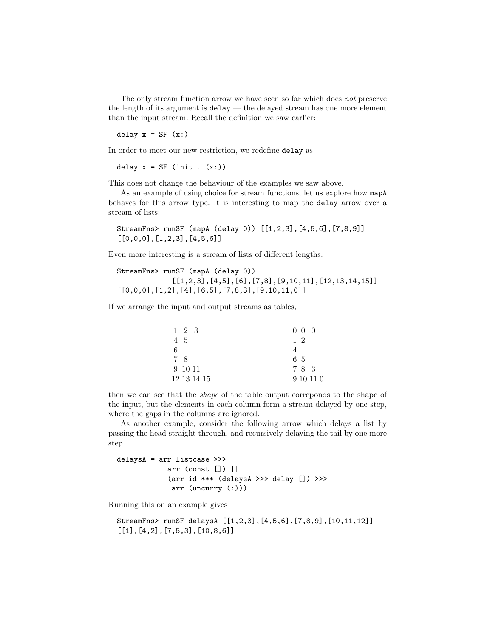The only stream function arrow we have seen so far which does not preserve the length of its argument is delay — the delayed stream has one more element than the input stream. Recall the definition we saw earlier:

delay  $x = SF (x:)$ 

In order to meet our new restriction, we redefine delay as

```
delay x = SF (init . (x:))
```
This does not change the behaviour of the examples we saw above.

As an example of using choice for stream functions, let us explore how mapA behaves for this arrow type. It is interesting to map the delay arrow over a stream of lists:

```
StreamFns> runSF (mapA (delay 0)) [[1,2,3],[4,5,6],[7,8,9]]
[[0,0,0],[1,2,3],[4,5,6]]
```
Even more interesting is a stream of lists of different lengths:

```
StreamFns> runSF (mapA (delay 0))
             [1,2,3],[4,5],[6],[7,8],[9,10,11],[12,13,14,15]]
[0,0,0], [1,2], [4], [6,5], [7,8,3], [9,10,11,0]]
```
If we arrange the input and output streams as tables,

| 1 2 3       | $0\quad 0\quad 0$ |
|-------------|-------------------|
| 4 5         | 12                |
| 6           |                   |
| 78          | 65                |
| 9 10 11     | 783               |
| 12 13 14 15 | 9 10 11 0         |

then we can see that the shape of the table output correponds to the shape of the input, but the elements in each column form a stream delayed by one step, where the gaps in the columns are ignored.

As another example, consider the following arrow which delays a list by passing the head straight through, and recursively delaying the tail by one more step.

```
delaysA = arr listcase >>>
            arr (const []) |||
            (arr id *** (delaysA >>> delay []) >>>
             arr (uncurry (:)))
```
Running this on an example gives

```
StreamFns> runSF delaysA [[1,2,3],[4,5,6],[7,8,9],[10,11,12]]
[[1],[4,2],[7,5,3],[10,8,6]]
```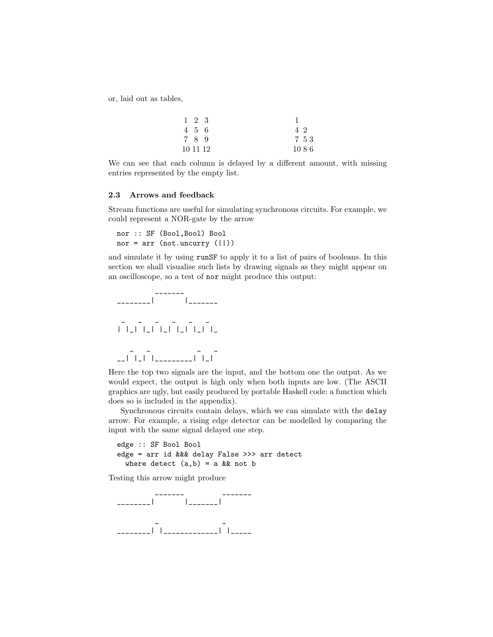or, laid out as tables,

| $1\quad 2\quad 3$ |          |      |  |
|-------------------|----------|------|--|
| $4\quad 5\quad 6$ |          | 42   |  |
| 789               |          | 753  |  |
|                   | 10 11 12 | 1086 |  |

We can see that each column is delayed by a different amount, with missing entries represented by the empty list.

### 2.3 Arrows and feedback

Stream functions are useful for simulating synchronous circuits. For example, we could represent a NOR-gate by the arrow

nor :: SF (Bool,Bool) Bool  $nor = arr (not.uncurry (||))$ 

and simulate it by using runSF to apply it to a list of pairs of booleans. In this section we shall visualise such lists by drawing signals as they might appear on an oscilloscope, so a test of nor might produce this output:



Here the top two signals are the input, and the bottom one the output. As we would expect, the output is high only when both inputs are low. (The ASCII graphics are ugly, but easily produced by portable Haskell code: a function which does so is included in the appendix).

Synchronous circuits contain delays, which we can simulate with the delay arrow. For example, a rising edge detector can be modelled by comparing the input with the same signal delayed one step.

```
edge :: SF Bool Bool
edge = arr id &&& delay False >>> arr detect
 where detect (a,b) = a && not b
```
Testing this arrow might produce

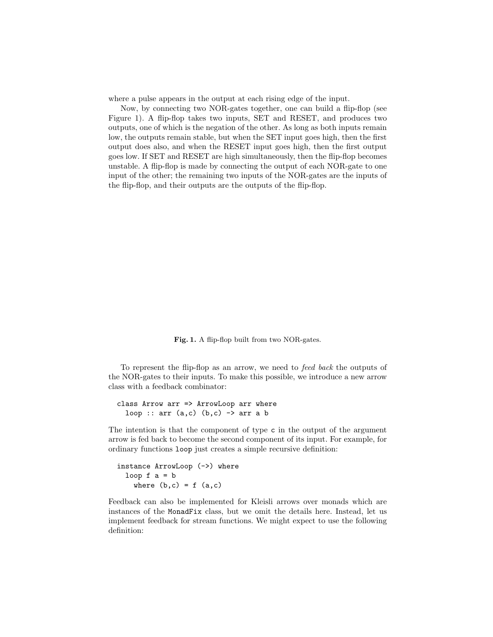where a pulse appears in the output at each rising edge of the input.

Now, by connecting two NOR-gates together, one can build a flip-flop (see Figure 1). A flip-flop takes two inputs, SET and RESET, and produces two outputs, one of which is the negation of the other. As long as both inputs remain low, the outputs remain stable, but when the SET input goes high, then the first output does also, and when the RESET input goes high, then the first output goes low. If SET and RESET are high simultaneously, then the flip-flop becomes unstable. A flip-flop is made by connecting the output of each NOR-gate to one input of the other; the remaining two inputs of the NOR-gates are the inputs of the flip-flop, and their outputs are the outputs of the flip-flop.

Fig. 1. A flip-flop built from two NOR-gates.

To represent the flip-flop as an arrow, we need to feed back the outputs of the NOR-gates to their inputs. To make this possible, we introduce a new arrow class with a feedback combinator:

```
class Arrow arr => ArrowLoop arr where
  loop :: arr (a, c) (b, c) \rightarrow arr a b
```
The intention is that the component of type c in the output of the argument arrow is fed back to become the second component of its input. For example, for ordinary functions loop just creates a simple recursive definition:

instance ArrowLoop (->) where loop  $f$   $a = b$ where  $(b, c) = f(a, c)$ 

Feedback can also be implemented for Kleisli arrows over monads which are instances of the MonadFix class, but we omit the details here. Instead, let us implement feedback for stream functions. We might expect to use the following definition: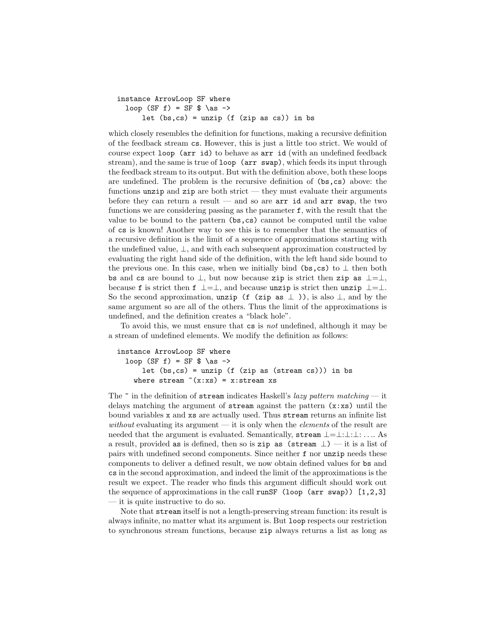```
instance ArrowLoop SF where
  loop (SF f) = SF \frac{1}{2} \as ->
      let (bs, cs) = unzip (f (zip as cs)) in bs
```
which closely resembles the definition for functions, making a recursive definition of the feedback stream cs. However, this is just a little too strict. We would of course expect loop (arr id) to behave as arr id (with an undefined feedback stream), and the same is true of loop (arr swap), which feeds its input through the feedback stream to its output. But with the definition above, both these loops are undefined. The problem is the recursive definition of  $(\mathbf{bs}, \mathbf{cs})$  above: the functions unzip and zip are both strict  $-$  they must evaluate their arguments before they can return a result — and so are  $arr$  id and  $arr$  swap, the two functions we are considering passing as the parameter f, with the result that the value to be bound to the pattern  $(\mathbf{bs}, \mathbf{cs})$  cannot be computed until the value of cs is known! Another way to see this is to remember that the semantics of a recursive definition is the limit of a sequence of approximations starting with the undefined value,  $\perp$ , and with each subsequent approximation constructed by evaluating the right hand side of the definition, with the left hand side bound to the previous one. In this case, when we initially bind (bs,cs) to  $\perp$  then both bs and cs are bound to  $\perp$ , but now because zip is strict then zip as  $\perp = \perp$ , because f is strict then f  $\perp = \perp$ , and because unzip is strict then unzip  $\perp = \perp$ . So the second approximation, unzip (f (zip as  $\perp$ )), is also  $\perp$ , and by the same argument so are all of the others. Thus the limit of the approximations is undefined, and the definition creates a "black hole".

To avoid this, we must ensure that cs is not undefined, although it may be a stream of undefined elements. We modify the definition as follows:

```
instance ArrowLoop SF where
  loop (SF f) = SF \frac{1}{2} \as ->
      let (bs, cs) = unzip (f (zip as (stream cs))) in bswhere stream (x:xs) = x:stream xs
```
The  $\tilde{\phantom{a}}$  in the definition of stream indicates Haskell's *lazy pattern matching* — it delays matching the argument of  $stream$  against the pattern  $(x:xs)$  until the bound variables x and xs are actually used. Thus stream returns an infinite list without evaluating its argument  $-$  it is only when the *elements* of the result are needed that the argument is evaluated. Semantically, stream ⊥=⊥:⊥:⊥: . . .. As a result, provided as is defined, then so is zip as  $(\text{stream } \perp)$  — it is a list of pairs with undefined second components. Since neither f nor unzip needs these components to deliver a defined result, we now obtain defined values for bs and cs in the second approximation, and indeed the limit of the approximations is the result we expect. The reader who finds this argument difficult should work out the sequence of approximations in the call runSF  $(loop (arr swap))$  [1,2,3] — it is quite instructive to do so.

Note that stream itself is not a length-preserving stream function: its result is always infinite, no matter what its argument is. But loop respects our restriction to synchronous stream functions, because zip always returns a list as long as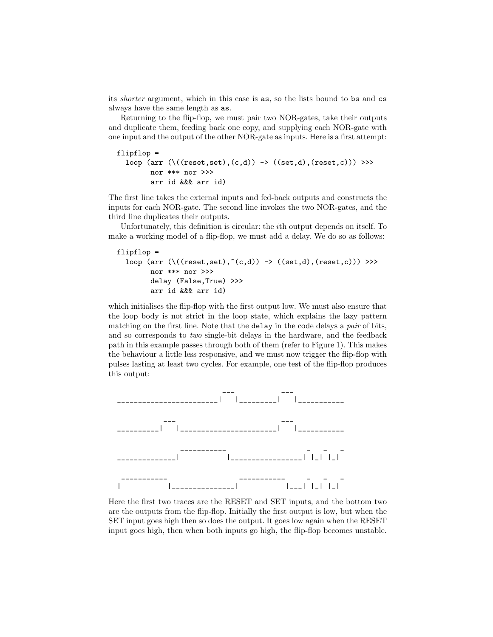its shorter argument, which in this case is as, so the lists bound to bs and cs always have the same length as as.

Returning to the flip-flop, we must pair two NOR-gates, take their outputs and duplicate them, feeding back one copy, and supplying each NOR-gate with one input and the output of the other NOR-gate as inputs. Here is a first attempt:

```
flipflop =
  loop (arr (\{(reset, set), (c, d)) \rightarrow ((set, d), (reset, c))) \gg\}nor *** nor >>>
         arr id &&& arr id)
```
The first line takes the external inputs and fed-back outputs and constructs the inputs for each NOR-gate. The second line invokes the two NOR-gates, and the third line duplicates their outputs.

Unfortunately, this definition is circular: the ith output depends on itself. To make a working model of a flip-flop, we must add a delay. We do so as follows:

```
flipflop =
  loop (arr (\{(\text{reset},\text{set}),\tilde{c}(c,d)) \rightarrow ((\text{set},d),(\text{reset},c))) \rightarrownor *** nor >>>
           delay (False,True) >>>
           arr id &&& arr id)
```
which initialises the flip-flop with the first output low. We must also ensure that the loop body is not strict in the loop state, which explains the lazy pattern matching on the first line. Note that the delay in the code delays a pair of bits, and so corresponds to two single-bit delays in the hardware, and the feedback path in this example passes through both of them (refer to Figure 1). This makes the behaviour a little less responsive, and we must now trigger the flip-flop with pulses lasting at least two cycles. For example, one test of the flip-flop produces this output:



Here the first two traces are the RESET and SET inputs, and the bottom two are the outputs from the flip-flop. Initially the first output is low, but when the SET input goes high then so does the output. It goes low again when the RESET input goes high, then when both inputs go high, the flip-flop becomes unstable.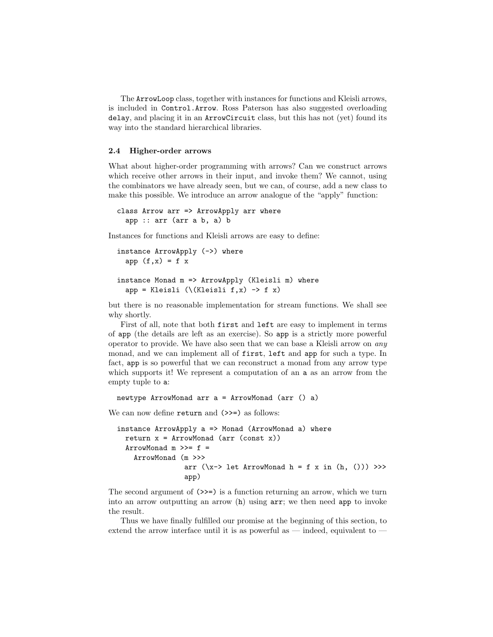The ArrowLoop class, together with instances for functions and Kleisli arrows, is included in Control.Arrow. Ross Paterson has also suggested overloading delay, and placing it in an ArrowCircuit class, but this has not (yet) found its way into the standard hierarchical libraries.

### 2.4 Higher-order arrows

What about higher-order programming with arrows? Can we construct arrows which receive other arrows in their input, and invoke them? We cannot, using the combinators we have already seen, but we can, of course, add a new class to make this possible. We introduce an arrow analogue of the "apply" function:

```
class Arrow arr => ArrowApply arr where
  app :: arr (arr a b, a) b
```
Instances for functions and Kleisli arrows are easy to define:

```
instance ArrowApply (->) where
  app (f,x) = f xinstance Monad m => ArrowApply (Kleisli m) where
  app = Kleisli (\{(Kleisli f,x) \rightarrow f x)
```
but there is no reasonable implementation for stream functions. We shall see why shortly.

First of all, note that both first and left are easy to implement in terms of app (the details are left as an exercise). So app is a strictly more powerful operator to provide. We have also seen that we can base a Kleisli arrow on any monad, and we can implement all of first, left and app for such a type. In fact, app is so powerful that we can reconstruct a monad from any arrow type which supports it! We represent a computation of an a as an arrow from the empty tuple to a:

```
newtype ArrowMonad arr a = ArrowMonad (arr () a)
```
We can now define return and  $(\gg)=$ ) as follows:

```
instance ArrowApply a => Monad (ArrowMonad a) where
  return x = ArrowMonad (arr (const x))ArrowMonad m \gg = f =
    ArrowMonad (m >>>
                   arr (\xrightarrow x \rightarrow \text{let Arrow} And h = f \times in (h, ())) \impliesapp)
```
The second argument of  $(\gg)=$ ) is a function returning an arrow, which we turn into an arrow outputting an arrow (h) using arr; we then need app to invoke the result.

Thus we have finally fulfilled our promise at the beginning of this section, to extend the arrow interface until it is as powerful as — indeed, equivalent to —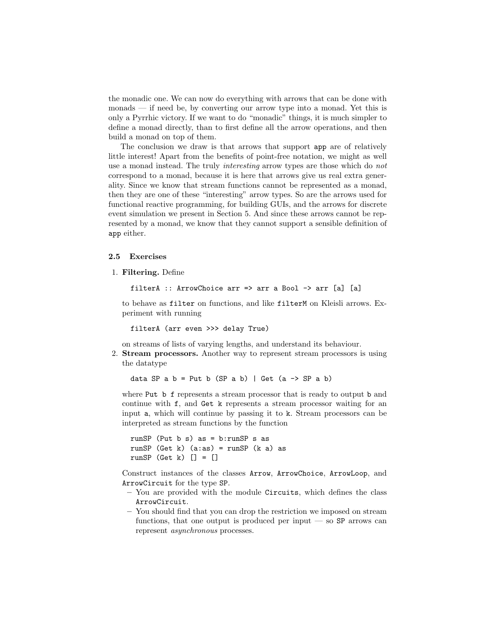the monadic one. We can now do everything with arrows that can be done with monads — if need be, by converting our arrow type into a monad. Yet this is only a Pyrrhic victory. If we want to do "monadic" things, it is much simpler to define a monad directly, than to first define all the arrow operations, and then build a monad on top of them.

The conclusion we draw is that arrows that support app are of relatively little interest! Apart from the benefits of point-free notation, we might as well use a monad instead. The truly interesting arrow types are those which do not correspond to a monad, because it is here that arrows give us real extra generality. Since we know that stream functions cannot be represented as a monad, then they are one of these "interesting" arrow types. So are the arrows used for functional reactive programming, for building GUIs, and the arrows for discrete event simulation we present in Section 5. And since these arrows cannot be represented by a monad, we know that they cannot support a sensible definition of app either.

### 2.5 Exercises

1. Filtering. Define

```
filterA :: ArrowChoice arr => arr a Bool -> arr [a] [a]
```
to behave as filter on functions, and like filterM on Kleisli arrows. Experiment with running

filterA (arr even >>> delay True)

on streams of lists of varying lengths, and understand its behaviour.

2. Stream processors. Another way to represent stream processors is using the datatype

data SP a  $b = Put b$  (SP a  $b$ ) | Get (a -> SP a  $b$ )

where Put b f represents a stream processor that is ready to output b and continue with f, and Get k represents a stream processor waiting for an input a, which will continue by passing it to k. Stream processors can be interpreted as stream functions by the function

```
runSP (Put b s) as = b:runSP s as
runSP (Get k) (a:as) = runSP (k a) as
runSP (Get k) [] = []
```
Construct instances of the classes Arrow, ArrowChoice, ArrowLoop, and ArrowCircuit for the type SP.

- You are provided with the module Circuits, which defines the class ArrowCircuit.
- You should find that you can drop the restriction we imposed on stream functions, that one output is produced per input  $-$  so SP arrows can represent asynchronous processes.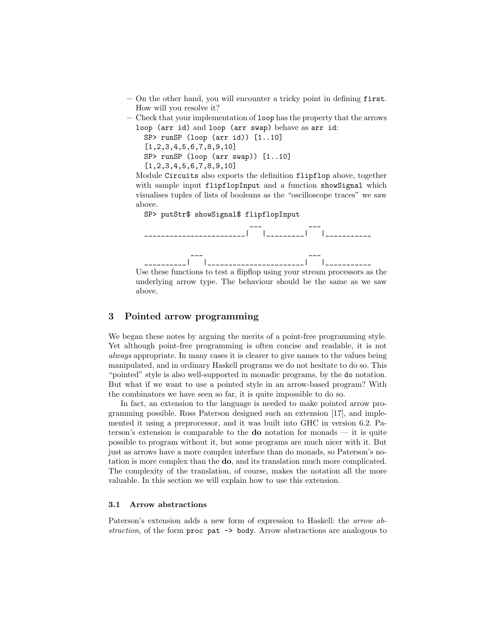- On the other hand, you will encounter a tricky point in defining first. How will you resolve it?
- Check that your implementation of loop has the property that the arrows loop (arr id) and loop (arr swap) behave as arr id:

SP> runSP (loop (arr id)) [1..10] [1,2,3,4,5,6,7,8,9,10] SP> runSP (loop (arr swap)) [1..10] [1,2,3,4,5,6,7,8,9,10]

Module Circuits also exports the definition flipflop above, together with sample input flipflopInput and a function showSignal which visualises tuples of lists of booleans as the "oscilloscope traces" we saw above.

SP> putStr\$ showSignal\$ flipflopInput



underlying arrow type. The behaviour should be the same as we saw above.

## 3 Pointed arrow programming

We began these notes by arguing the merits of a point-free programming style. Yet although point-free programming is often concise and readable, it is not always appropriate. In many cases it is clearer to give names to the values being manipulated, and in ordinary Haskell programs we do not hesitate to do so. This "pointed" style is also well-supported in monadic programs, by the do notation. But what if we want to use a pointed style in an arrow-based program? With the combinators we have seen so far, it is quite impossible to do so.

In fact, an extension to the language is needed to make pointed arrow programming possible. Ross Paterson designed such an extension [17], and implemented it using a preprocessor, and it was built into GHC in version 6.2. Paterson's extension is comparable to the **do** notation for monads  $-$  it is quite possible to program without it, but some programs are much nicer with it. But just as arrows have a more complex interface than do monads, so Paterson's notation is more complex than the do, and its translation much more complicated. The complexity of the translation, of course, makes the notation all the more valuable. In this section we will explain how to use this extension.

### 3.1 Arrow abstractions

Paterson's extension adds a new form of expression to Haskell: the arrow abstraction, of the form proc pat -> body. Arrow abstractions are analogous to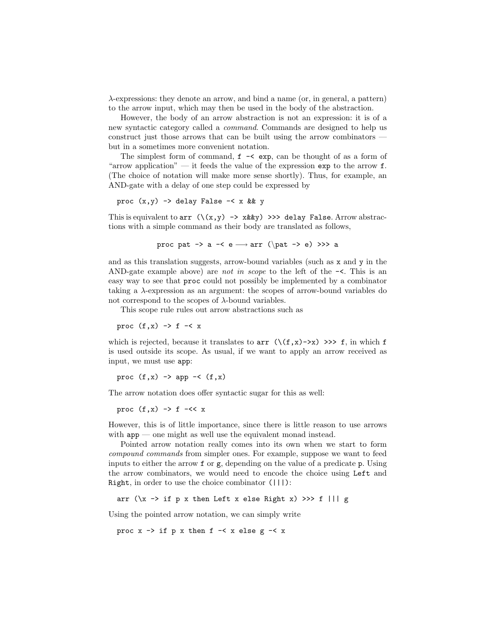λ-expressions: they denote an arrow, and bind a name (or, in general, a pattern) to the arrow input, which may then be used in the body of the abstraction.

However, the body of an arrow abstraction is not an expression: it is of a new syntactic category called a command. Commands are designed to help us construct just those arrows that can be built using the arrow combinators but in a sometimes more convenient notation.

The simplest form of command,  $f \prec \exp$ , can be thought of as a form of "arrow application" — it feeds the value of the expression exp to the arrow f. (The choice of notation will make more sense shortly). Thus, for example, an AND-gate with a delay of one step could be expressed by

proc  $(x,y) \rightarrow$  delay False  $-\langle x \& x \rangle$ 

This is equivalent to  $arr (\lambda(x,y) \rightarrow x \& y) \gg$  delay False. Arrow abstractions with a simple command as their body are translated as follows,

proc pat  $\rightarrow$  a  $\prec$  e  $\rightarrow$  arr (\pat -> e) >>> a

and as this translation suggests, arrow-bound variables (such as x and y in the AND-gate example above) are not in scope to the left of the  $\prec$ . This is an easy way to see that proc could not possibly be implemented by a combinator taking a  $\lambda$ -expression as an argument: the scopes of arrow-bound variables do not correspond to the scopes of  $\lambda$ -bound variables.

This scope rule rules out arrow abstractions such as

proc  $(f,x) \rightarrow f \prec x$ 

which is rejected, because it translates to  $\arctan(\zeta(f,x)-\zeta) >> f$ , in which f is used outside its scope. As usual, if we want to apply an arrow received as input, we must use app:

proc  $(f,x) \rightarrow app \prec (f,x)$ 

The arrow notation does offer syntactic sugar for this as well:

proc  $(f,x) \rightarrow f \rightarrow \infty$ 

However, this is of little importance, since there is little reason to use arrows with  $app$  — one might as well use the equivalent monad instead.

Pointed arrow notation really comes into its own when we start to form compound commands from simpler ones. For example, suppose we want to feed inputs to either the arrow f or g, depending on the value of a predicate p. Using the arrow combinators, we would need to encode the choice using Left and Right, in order to use the choice combinator  $(| \cdot |)$ :

arr ( $\xrightarrow{}$  if p x then Left x else Right x) >>> f ||| g

Using the pointed arrow notation, we can simply write

proc  $x \rightarrow$  if p x then  $f \rightarrow x$  else  $g \rightarrow x$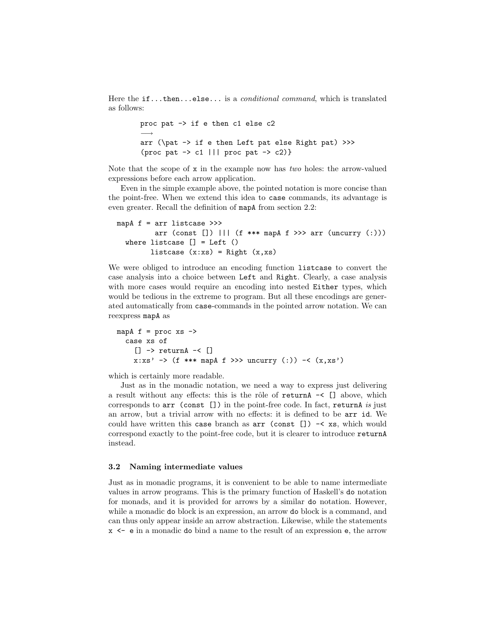Here the **if...then...else...** is a *conditional command*, which is translated as follows:

```
proc pat -> if e then c1 else c2
−→
arr (\pat -> if e then Left pat else Right pat) >>>
(proc pat \rightarrow c1 ||| proc pat \rightarrow c2)}
```
Note that the scope of x in the example now has two holes: the arrow-valued expressions before each arrow application.

Even in the simple example above, the pointed notation is more concise than the point-free. When we extend this idea to case commands, its advantage is even greater. Recall the definition of mapA from section 2.2:

```
mapA f = arr listcase >>>
         arr (const []) ||| (f *** mapA f >>> arr (uncurry (:)))
  where listcase [] = Left()listcase (x:xs) = Right(x,xs)
```
We were obliged to introduce an encoding function listcase to convert the case analysis into a choice between Left and Right. Clearly, a case analysis with more cases would require an encoding into nested Either types, which would be tedious in the extreme to program. But all these encodings are generated automatically from case-commands in the pointed arrow notation. We can reexpress mapA as

```
mapA f = proc xs \rightarrowcase xs of
      [] -> returnA -< []x:xs' \rightarrow (f ** \text{mapA } f \gg) \text{uncatrix } (:) \rightarrow (x, xs')
```
which is certainly more readable.

Just as in the monadic notation, we need a way to express just delivering a result without any effects: this is the rôle of returnA  $\prec$  [] above, which corresponds to  $arr$  (const  $[]$ ) in the point-free code. In fact, returnA is just an arrow, but a trivial arrow with no effects: it is defined to be arr id. We could have written this case branch as  $arr$  (const  $[]$ ) -< xs, which would correspond exactly to the point-free code, but it is clearer to introduce returnA instead.

### 3.2 Naming intermediate values

Just as in monadic programs, it is convenient to be able to name intermediate values in arrow programs. This is the primary function of Haskell's do notation for monads, and it is provided for arrows by a similar do notation. However, while a monadic do block is an expression, an arrow do block is a command, and can thus only appear inside an arrow abstraction. Likewise, while the statements x <- e in a monadic do bind a name to the result of an expression e, the arrow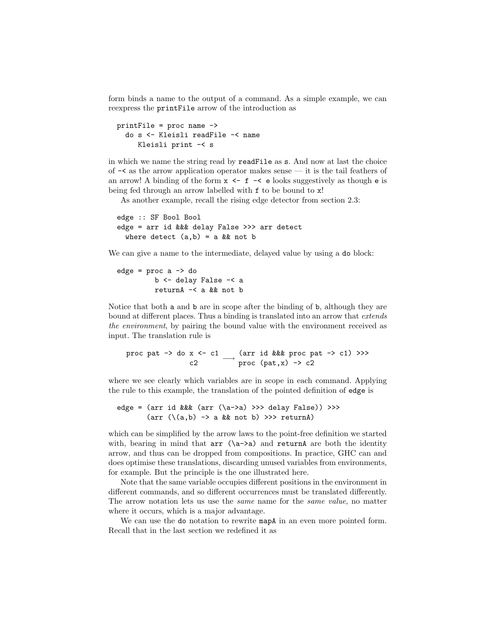form binds a name to the output of a command. As a simple example, we can reexpress the printFile arrow of the introduction as

```
printFile = proc name ->
  do s <- Kleisli readFile -< name
    Kleisli print -< s
```
in which we name the string read by readFile as s. And now at last the choice of -< as the arrow application operator makes sense — it is the tail feathers of an arrow! A binding of the form  $x \leq f \leq e$  looks suggestively as though e is being fed through an arrow labelled with f to be bound to x!

As another example, recall the rising edge detector from section 2.3:

```
edge :: SF Bool Bool
edge = arr id &&& delay False >>> arr detect
  where detect (a,b) = a \& not \&
```
We can give a name to the intermediate, delayed value by using a do block:

edge =  $proc a \rightarrow do$ b <- delay False -< a returnA -< a && not b

Notice that both a and b are in scope after the binding of b, although they are bound at different places. Thus a binding is translated into an arrow that extends the environment, by pairing the bound value with the environment received as input. The translation rule is

proc pat -> do x <- c1  $\longrightarrow$  (arr id &&& proc pat -> c1) >>> c2  $\longrightarrow$  c2 proc (pat,x) -> c2

where we see clearly which variables are in scope in each command. Applying the rule to this example, the translation of the pointed definition of edge is

edge = (arr id &&& (arr (\a->a) >>> delay False)) >>>  $(\arctan(\lambda(a,b) \rightarrow a \& not b) \rightarrow \searrow \text{return } A)$ 

which can be simplified by the arrow laws to the point-free definition we started with, bearing in mind that  $arr (\a -\lambda)$  and returnA are both the identity arrow, and thus can be dropped from compositions. In practice, GHC can and does optimise these translations, discarding unused variables from environments, for example. But the principle is the one illustrated here.

Note that the same variable occupies different positions in the environment in different commands, and so different occurrences must be translated differently. The arrow notation lets us use the *same* name for the *same value*, no matter where it occurs, which is a major advantage.

We can use the do notation to rewrite mapA in an even more pointed form. Recall that in the last section we redefined it as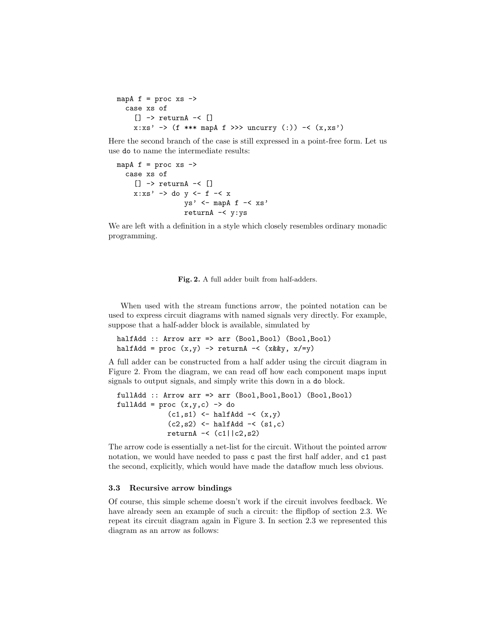```
mapA f = proc xs \rightarrowcase xs of
     [] -> returnA -< []x:xs' \rightarrow (f **mapA f \gg) uncurry (:)) -< (x, xs')
```
Here the second branch of the case is still expressed in a point-free form. Let us use do to name the intermediate results:

```
mapA f = proc xs \rightarrowcase xs of
      [] -> returnA -< []x:xs' \rightarrow do y \leftarrow f \leftarrow xys' \leftarrow mapA f \leftarrow xs'returnA -< y:ys
```
We are left with a definition in a style which closely resembles ordinary monadic programming.



When used with the stream functions arrow, the pointed notation can be used to express circuit diagrams with named signals very directly. For example, suppose that a half-adder block is available, simulated by

```
halfAdd :: Arrow arr => arr (Bool,Bool) (Bool,Bool)
halfAdd = proc (x,y) \rightarrow returnA -< (x \& y, x/\frac{y}{y})
```
A full adder can be constructed from a half adder using the circuit diagram in Figure 2. From the diagram, we can read off how each component maps input signals to output signals, and simply write this down in a do block.

```
fullAdd :: Arrow arr => arr (Bool,Bool,Bool) (Bool,Bool)
fullAdd = proc (x,y,c) -> do
            (c1,s1) <- halfAdd -< (x,y)(c2,s2) <- halfAdd -< (s1,c)returnA-< (c1||c2,s2)
```
The arrow code is essentially a net-list for the circuit. Without the pointed arrow notation, we would have needed to pass c past the first half adder, and c1 past the second, explicitly, which would have made the dataflow much less obvious.

### 3.3 Recursive arrow bindings

Of course, this simple scheme doesn't work if the circuit involves feedback. We have already seen an example of such a circuit: the flipflop of section 2.3. We repeat its circuit diagram again in Figure 3. In section 2.3 we represented this diagram as an arrow as follows: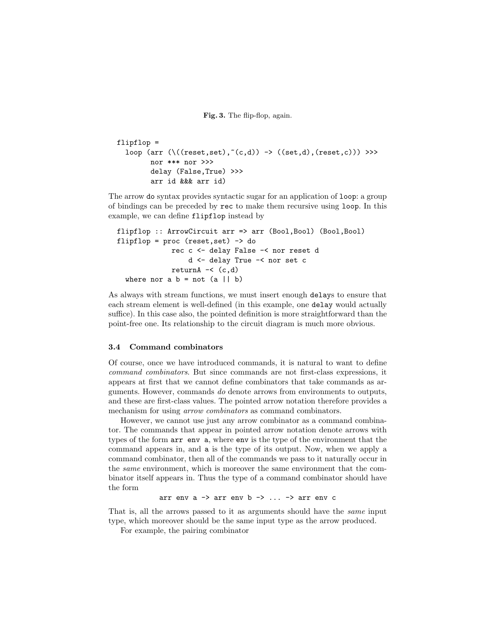Fig. 3. The flip-flop, again.

```
flipflop =
  loop (arr (\langle (reset, set), ^{c}(c,d)) \rightarrow ((set,d), (reset, c))) \rightarrownor *** nor >>>
          delay (False,True) >>>
          arr id &&& arr id)
```
The arrow do syntax provides syntactic sugar for an application of loop: a group of bindings can be preceded by rec to make them recursive using loop. In this example, we can define flipflop instead by

```
flipflop :: ArrowCircuit arr => arr (Bool,Bool) (Bool,Bool)
flipflop = proc (reset,set) -> do
             rec c <- delay False -< nor reset d
                 d <- delay True -< nor set c
             returnA \prec (c,d)where nor a b = not (a || b)
```
As always with stream functions, we must insert enough delays to ensure that each stream element is well-defined (in this example, one delay would actually suffice). In this case also, the pointed definition is more straightforward than the point-free one. Its relationship to the circuit diagram is much more obvious.

### 3.4 Command combinators

Of course, once we have introduced commands, it is natural to want to define command combinators. But since commands are not first-class expressions, it appears at first that we cannot define combinators that take commands as arguments. However, commands do denote arrows from environments to outputs, and these are first-class values. The pointed arrow notation therefore provides a mechanism for using arrow combinators as command combinators.

However, we cannot use just any arrow combinator as a command combinator. The commands that appear in pointed arrow notation denote arrows with types of the form arr env a, where env is the type of the environment that the command appears in, and a is the type of its output. Now, when we apply a command combinator, then all of the commands we pass to it naturally occur in the same environment, which is moreover the same environment that the combinator itself appears in. Thus the type of a command combinator should have the form

```
arr env a \rightarrow arr env b \rightarrow ... \rightarrow arr env c
```
That is, all the arrows passed to it as arguments should have the same input type, which moreover should be the same input type as the arrow produced.

For example, the pairing combinator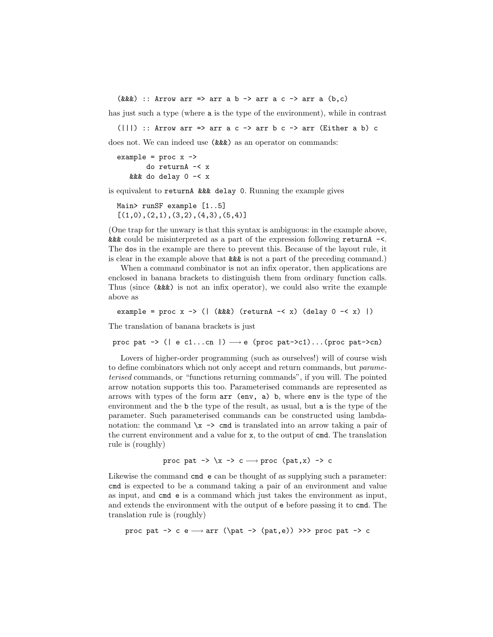$(kkk)$  :: Arrow arr => arr a b -> arr a c -> arr a  $(b, c)$ 

has just such a type (where a is the type of the environment), while in contrast

 $(||||)$  :: Arrow arr => arr a c -> arr b c -> arr (Either a b) c

does not. We can indeed use (**&&&**) as an operator on commands:

example =  $proc x \rightarrow$ do returnA -< x &&& do delay  $0 - < x$ 

is equivalent to returnA &&& delay 0. Running the example gives

```
Main> runSF example [1..5]
[(1,0),(2,1),(3,2),(4,3),(5,4)]
```
(One trap for the unwary is that this syntax is ambiguous: in the example above, **&&&** could be misinterpreted as a part of the expression following returnA  $-\leq$ . The dos in the example are there to prevent this. Because of the layout rule, it is clear in the example above that &&& is not a part of the preceding command.)

When a command combinator is not an infix operator, then applications are enclosed in banana brackets to distinguish them from ordinary function calls. Thus (since (&&&) is not an infix operator), we could also write the example above as

```
example = proc x \rightarrow ( | (kkk) (return A -< x) (delay 0 -< x) | )
```
The translation of banana brackets is just

proc pat  $\rightarrow$  (| e c1...cn |)  $\rightarrow$  e (proc pat->c1)...(proc pat->cn)

Lovers of higher-order programming (such as ourselves!) will of course wish to define combinators which not only accept and return commands, but parameterised commands, or "functions returning commands", if you will. The pointed arrow notation supports this too. Parameterised commands are represented as arrows with types of the form arr (env, a) b, where env is the type of the environment and the b the type of the result, as usual, but a is the type of the parameter. Such parameterised commands can be constructed using lambdanotation: the command  $\x \rightarrow$  cmd is translated into an arrow taking a pair of the current environment and a value for x, to the output of cmd. The translation rule is (roughly)

proc pat  $\rightarrow \x \rightarrow \c \rightarrow \text{proc} (\text{pat}, x) \rightarrow c$ 

Likewise the command cmd e can be thought of as supplying such a parameter: cmd is expected to be a command taking a pair of an environment and value as input, and cmd e is a command which just takes the environment as input, and extends the environment with the output of e before passing it to cmd. The translation rule is (roughly)

```
proc pat \rightarrow c e \rightarrow arr (\pat -> (pat,e)) >>> proc pat -> c
```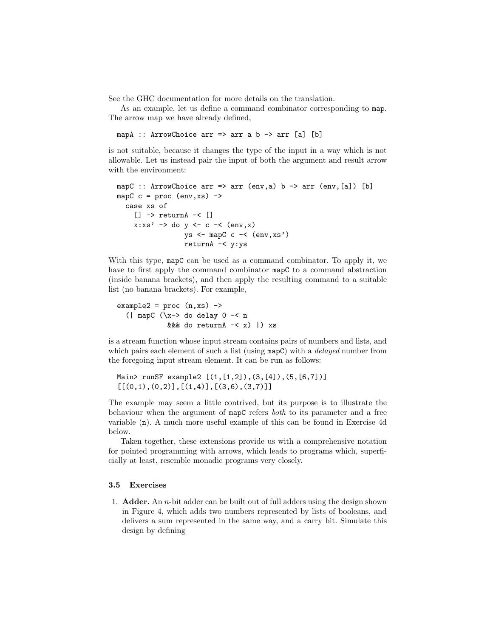See the GHC documentation for more details on the translation.

As an example, let us define a command combinator corresponding to map. The arrow map we have already defined,

mapA :: ArrowChoice arr => arr a  $b \rightarrow arr$  [a] [b]

is not suitable, because it changes the type of the input in a way which is not allowable. Let us instead pair the input of both the argument and result arrow with the environment:

```
mapC :: ArrowChoice arr => arr (env,a) b -> arr (env, [a]) [b]
mapC c = proc (env, xs) \rightarrowcase xs of
    [] -> returnA -< []x:xs' \rightarrow do y \leftarrow c \leftarrow (env,x)ys <- mapC c -< (env, xs')returnA -< y:ys
```
With this type, mapC can be used as a command combinator. To apply it, we have to first apply the command combinator mapC to a command abstraction (inside banana brackets), and then apply the resulting command to a suitable list (no banana brackets). For example,

```
example2 = proc (n, xs) ->
   (\langle \rangle mapC \langle \ranglex-> do delay 0 -< n
                &&& do returnA \prec x) |) xs
```
is a stream function whose input stream contains pairs of numbers and lists, and which pairs each element of such a list (using mapC) with a *delayed* number from the foregoing input stream element. It can be run as follows:

```
Main> runSF example2 [(1,[1,2]),(3,[4]),(5,[6,7])]
[[(0,1), (0,2)],[(1,4)],[(3,6), (3,7)]]
```
The example may seem a little contrived, but its purpose is to illustrate the behaviour when the argument of mapC refers both to its parameter and a free variable (n). A much more useful example of this can be found in Exercise 4d below.

Taken together, these extensions provide us with a comprehensive notation for pointed programming with arrows, which leads to programs which, superficially at least, resemble monadic programs very closely.

#### 3.5 Exercises

1. **Adder.** An *n*-bit adder can be built out of full adders using the design shown in Figure 4, which adds two numbers represented by lists of booleans, and delivers a sum represented in the same way, and a carry bit. Simulate this design by defining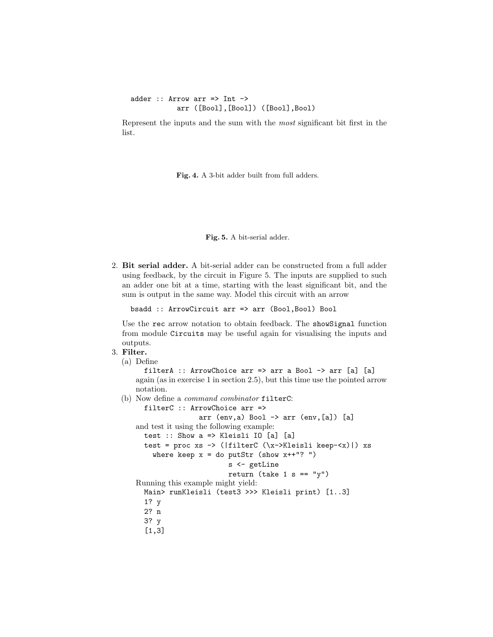```
adder :: Arrow arr \Rightarrow Int \Rightarrowarr ([Bool],[Bool]) ([Bool],Bool)
```
Represent the inputs and the sum with the most significant bit first in the list.

Fig. 4. A 3-bit adder built from full adders.

Fig. 5. A bit-serial adder.

2. Bit serial adder. A bit-serial adder can be constructed from a full adder using feedback, by the circuit in Figure 5. The inputs are supplied to such an adder one bit at a time, starting with the least significant bit, and the sum is output in the same way. Model this circuit with an arrow

```
bsadd :: ArrowCircuit arr => arr (Bool,Bool) Bool
```
Use the rec arrow notation to obtain feedback. The showSignal function from module Circuits may be useful again for visualising the inputs and outputs.

#### 3. Filter.

(a) Define

filterA :: ArrowChoice arr => arr a Bool -> arr [a] [a] again (as in exercise 1 in section 2.5), but this time use the pointed arrow notation. (b) Now define a command combinator filterC:

```
filterC :: ArrowChoice arr =>
               arr (env,a) Bool \rightarrow arr (env, [a]) [a]
and test it using the following example:
  test :: Show a => Kleisli IO [a] [a]
  test = proc xs -> (|filterC (\x->Kleisli keep-<x)|) xs
    where keep x = do putStr (show x++".")s <- getLine
                       return (take 1 s == "y")Running this example might yield:
 Main> runKleisli (test3 >>> Kleisli print) [1..3]
  1? y
  2? n
 3? y
  [1,3]
```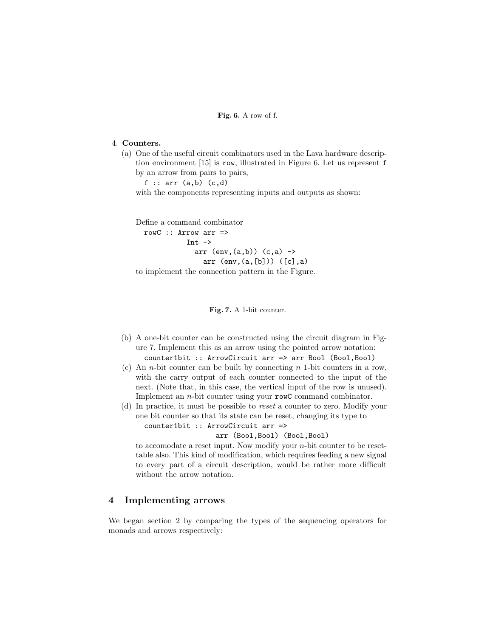Fig. 6. A row of f.

## 4. Counters.

(a) One of the useful circuit combinators used in the Lava hardware description environment [15] is row, illustrated in Figure 6. Let us represent f by an arrow from pairs to pairs,

```
f :: arr(a,b) (c,d)
```
with the components representing inputs and outputs as shown:

Define a command combinator rowC :: Arrow arr => Int  $\rightarrow$ arr  $(\text{env}, (a,b))$   $(c,a)$  -> arr (env,(a,[b])) ([c],a) to implement the connection pattern in the Figure.

Fig. 7. A 1-bit counter.

- (b) A one-bit counter can be constructed using the circuit diagram in Figure 7. Implement this as an arrow using the pointed arrow notation: counter1bit :: ArrowCircuit arr => arr Bool (Bool, Bool)
- (c) An *n*-bit counter can be built by connecting  $n$  1-bit counters in a row, with the carry output of each counter connected to the input of the next. (Note that, in this case, the vertical input of the row is unused). Implement an *n*-bit counter using your rowC command combinator.
- (d) In practice, it must be possible to reset a counter to zero. Modify your one bit counter so that its state can be reset, changing its type to counter1bit :: ArrowCircuit arr =>

```
arr (Bool,Bool) (Bool,Bool)
```
to accomodate a reset input. Now modify your  $n$ -bit counter to be resettable also. This kind of modification, which requires feeding a new signal to every part of a circuit description, would be rather more difficult without the arrow notation.

## 4 Implementing arrows

We began section 2 by comparing the types of the sequencing operators for monads and arrows respectively: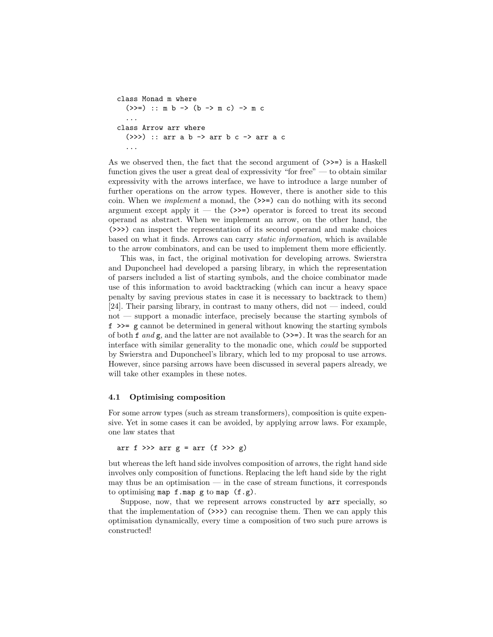```
class Monad m where
  (\gg)=) :: m b -> (b -> m c) -> m c
  ...
class Arrow arr where
  (\gg\gg) :: arr a b -> arr b c -> arr a c
  ...
```
As we observed then, the fact that the second argument of (>>=) is a Haskell function gives the user a great deal of expressivity "for free" — to obtain similar expressivity with the arrows interface, we have to introduce a large number of further operations on the arrow types. However, there is another side to this coin. When we *implement* a monad, the  $(\gg)=$  can do nothing with its second argument except apply it — the  $(\gg=)$  operator is forced to treat its second operand as abstract. When we implement an arrow, on the other hand, the (>>>) can inspect the representation of its second operand and make choices based on what it finds. Arrows can carry static information, which is available to the arrow combinators, and can be used to implement them more efficiently.

This was, in fact, the original motivation for developing arrows. Swierstra and Duponcheel had developed a parsing library, in which the representation of parsers included a list of starting symbols, and the choice combinator made use of this information to avoid backtracking (which can incur a heavy space penalty by saving previous states in case it is necessary to backtrack to them) [24]. Their parsing library, in contrast to many others, did not — indeed, could not — support a monadic interface, precisely because the starting symbols of  $f \gg = g$  cannot be determined in general without knowing the starting symbols of both  $f$  and  $g$ , and the latter are not available to  $(\gg)=$ ). It was the search for an interface with similar generality to the monadic one, which could be supported by Swierstra and Duponcheel's library, which led to my proposal to use arrows. However, since parsing arrows have been discussed in several papers already, we will take other examples in these notes.

### 4.1 Optimising composition

For some arrow types (such as stream transformers), composition is quite expensive. Yet in some cases it can be avoided, by applying arrow laws. For example, one law states that

arr f >>> arr  $g = arr$  (f >>>  $g$ )

but whereas the left hand side involves composition of arrows, the right hand side involves only composition of functions. Replacing the left hand side by the right may thus be an optimisation — in the case of stream functions, it corresponds to optimising map  $f$ .map  $g$  to map  $(f,g)$ .

Suppose, now, that we represent arrows constructed by arr specially, so that the implementation of (>>>) can recognise them. Then we can apply this optimisation dynamically, every time a composition of two such pure arrows is constructed!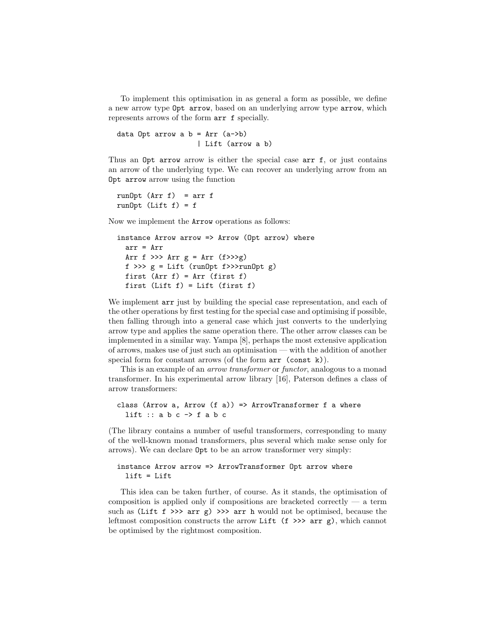To implement this optimisation in as general a form as possible, we define a new arrow type Opt arrow, based on an underlying arrow type arrow, which represents arrows of the form arr f specially.

```
data 0pt arrow a b = Arr (a->b)| Lift (arrow a b)
```
Thus an Opt arrow arrow is either the special case arr f, or just contains an arrow of the underlying type. We can recover an underlying arrow from an Opt arrow arrow using the function

```
run0pt (Arr f) = arr f
run0pt (Lift f) = f
```
Now we implement the Arrow operations as follows:

```
instance Arrow arrow => Arrow (Opt arrow) where
  arr = Arr
  Arr f \gg \text{Arr } g = Arr (f \gg g)f >>> g = Lift (runOpt f>>>runOpt g)
  first (Arr f) = Arr (first f)
  first (Lift f) = Lift (first f)
```
We implement  $\Delta \mathbf{r}$  just by building the special case representation, and each of the other operations by first testing for the special case and optimising if possible, then falling through into a general case which just converts to the underlying arrow type and applies the same operation there. The other arrow classes can be implemented in a similar way. Yampa [8], perhaps the most extensive application of arrows, makes use of just such an optimisation — with the addition of another special form for constant arrows (of the form  $arr$  (const k)).

This is an example of an *arrow transformer* or *functor*, analogous to a monad transformer. In his experimental arrow library [16], Paterson defines a class of arrow transformers:

```
class (Arrow a, Arrow (f a)) => ArrowTransformer f a where
  lift \cdots a b c \rightarrow f a b c
```
(The library contains a number of useful transformers, corresponding to many of the well-known monad transformers, plus several which make sense only for arrows). We can declare Opt to be an arrow transformer very simply:

### instance Arrow arrow => ArrowTransformer Opt arrow where lift = Lift

This idea can be taken further, of course. As it stands, the optimisation of composition is applied only if compositions are bracketed correctly  $-$  a term such as (Lift f  $\gg$  arr g)  $\gg$  arr h would not be optimised, because the leftmost composition constructs the arrow Lift  $(f \gg)$  arr g), which cannot be optimised by the rightmost composition.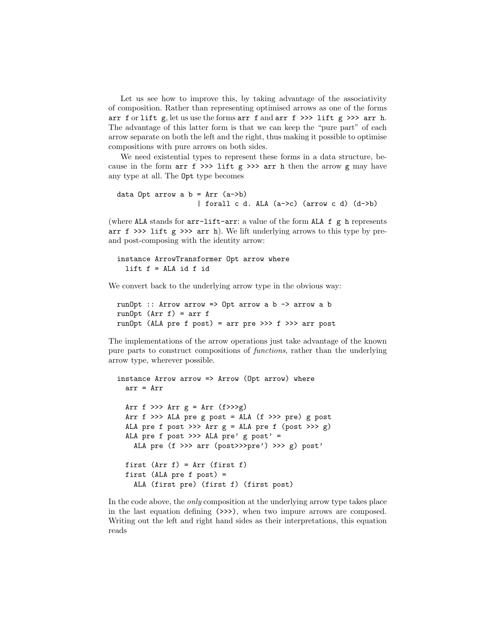Let us see how to improve this, by taking advantage of the associativity of composition. Rather than representing optimised arrows as one of the forms arr f or lift g, let us use the forms arr f and arr f >>> lift g >>> arr h. The advantage of this latter form is that we can keep the "pure part" of each arrow separate on both the left and the right, thus making it possible to optimise compositions with pure arrows on both sides.

We need existential types to represent these forms in a data structure, because in the form  $arr f \gg \text{lift } g \gg \text{arr } h$  then the arrow g may have any type at all. The Opt type becomes

```
data 0pt arrow a b = Arr (a->b)| forall c d. ALA (a->c) (arrow c d) (d->b)
```
(where ALA stands for  $arr-lift-arr$ : a value of the form ALA f g h represents arr f  $\gg$  lift g  $\gg$  arr h). We lift underlying arrows to this type by preand post-composing with the identity arrow:

```
instance ArrowTransformer Opt arrow where
 lift f = ALA id f id
```
We convert back to the underlying arrow type in the obvious way:

```
runOpt :: Arrow arrow => Opt arrow a b -> arrow a b
run0pt (Arr f) = arr f
runOpt (ALA pre f post) = arr pre >>> f >>> arr post
```
The implementations of the arrow operations just take advantage of the known pure parts to construct compositions of functions, rather than the underlying arrow type, wherever possible.

```
instance Arrow arrow => Arrow (Opt arrow) where
  arr = Arr
  Arr f \gg \lambda Arr g = Arr (f \gg g)Arr f \gg\ ALA pre g post = ALA (f \gg\ pre) g post
  ALA pre f post \gg Arr g = ALA pre f (post \gg g)
  ALA pre f post \gg ALA pre' g post' =
    ALA pre (f >>> arr (post>>>pre') >>> g) post'
  first (Arr f) = Arr (first f)first (ALA pre f post) =
    ALA (first pre) (first f) (first post)
```
In the code above, the only composition at the underlying arrow type takes place in the last equation defining (>>>), when two impure arrows are composed. Writing out the left and right hand sides as their interpretations, this equation reads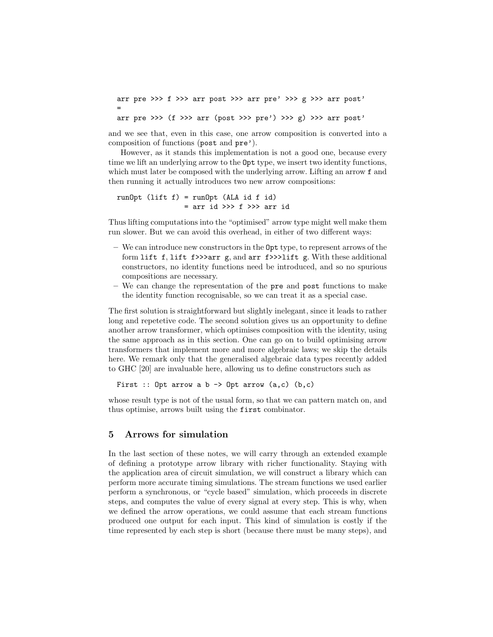arr pre >>> f >>> arr post >>> arr pre' >>> g >>> arr post' = arr pre >>> (f >>> arr (post >>> pre') >>> g) >>> arr post'

and we see that, even in this case, one arrow composition is converted into a composition of functions (post and pre').

However, as it stands this implementation is not a good one, because every time we lift an underlying arrow to the Opt type, we insert two identity functions, which must later be composed with the underlying arrow. Lifting an arrow f and then running it actually introduces two new arrow compositions:

```
runOpt (lift f) = runOpt (ALA id f id)= arr id >>> f >>> arr id
```
Thus lifting computations into the "optimised" arrow type might well make them run slower. But we can avoid this overhead, in either of two different ways:

- We can introduce new constructors in the Opt type, to represent arrows of the form lift f, lift f>>>arr g, and arr f>>>lift g. With these additional constructors, no identity functions need be introduced, and so no spurious compositions are necessary.
- We can change the representation of the pre and post functions to make the identity function recognisable, so we can treat it as a special case.

The first solution is straightforward but slightly inelegant, since it leads to rather long and repetetive code. The second solution gives us an opportunity to define another arrow transformer, which optimises composition with the identity, using the same approach as in this section. One can go on to build optimising arrow transformers that implement more and more algebraic laws; we skip the details here. We remark only that the generalised algebraic data types recently added to GHC [20] are invaluable here, allowing us to define constructors such as

First :: Opt arrow a  $b \rightarrow$  Opt arrow  $(a, c)$   $(b, c)$ 

whose result type is not of the usual form, so that we can pattern match on, and thus optimise, arrows built using the first combinator.

## 5 Arrows for simulation

In the last section of these notes, we will carry through an extended example of defining a prototype arrow library with richer functionality. Staying with the application area of circuit simulation, we will construct a library which can perform more accurate timing simulations. The stream functions we used earlier perform a synchronous, or "cycle based" simulation, which proceeds in discrete steps, and computes the value of every signal at every step. This is why, when we defined the arrow operations, we could assume that each stream functions produced one output for each input. This kind of simulation is costly if the time represented by each step is short (because there must be many steps), and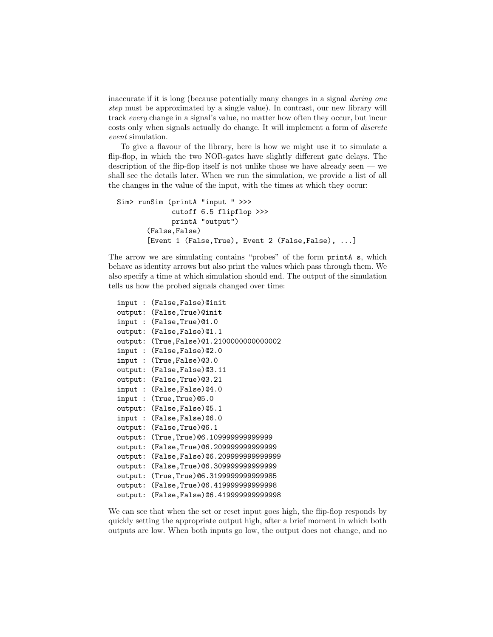inaccurate if it is long (because potentially many changes in a signal *during one* step must be approximated by a single value). In contrast, our new library will track every change in a signal's value, no matter how often they occur, but incur costs only when signals actually do change. It will implement a form of discrete event simulation.

To give a flavour of the library, here is how we might use it to simulate a flip-flop, in which the two NOR-gates have slightly different gate delays. The description of the flip-flop itself is not unlike those we have already seen — we shall see the details later. When we run the simulation, we provide a list of all the changes in the value of the input, with the times at which they occur:

```
Sim> runSim (printA "input " >>>
             cutoff 6.5 flipflop >>>
             printA "output")
       (False,False)
       [Event 1 (False,True), Event 2 (False,False), ...]
```
The arrow we are simulating contains "probes" of the form printA s, which behave as identity arrows but also print the values which pass through them. We also specify a time at which simulation should end. The output of the simulation tells us how the probed signals changed over time:

```
input : (False,False)@init
output: (False,True)@init
input : (False,True)@1.0
output: (False,False)@1.1
output: (True,False)@1.2100000000000002
input : (False,False)@2.0
input : (True,False)@3.0
output: (False,False)@3.11
output: (False,True)@3.21
input : (False,False)@4.0
input : (True,True)@5.0
output: (False,False)@5.1
input : (False,False)@6.0
output: (False,True)@6.1
output: (True,True)@6.109999999999999
output: (False,True)@6.209999999999999
output: (False,False)@6.209999999999999
output: (False,True)@6.309999999999999
output: (True,True)@6.3199999999999985
output: (False,True)@6.419999999999998
output: (False,False)@6.419999999999998
```
We can see that when the set or reset input goes high, the flip-flop responds by quickly setting the appropriate output high, after a brief moment in which both outputs are low. When both inputs go low, the output does not change, and no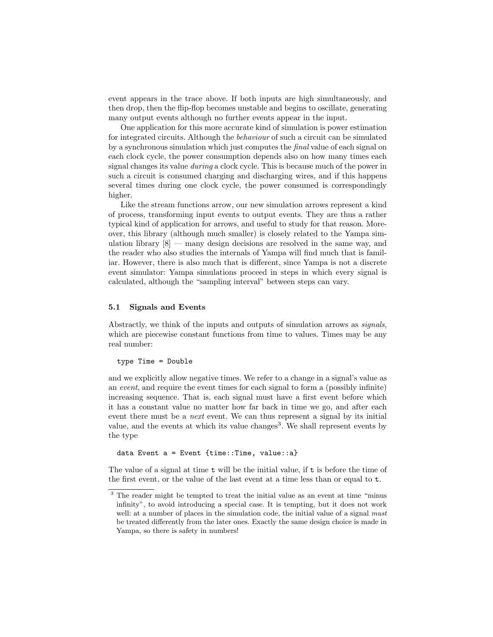event appears in the trace above. If both inputs are high simultaneously, and then drop, then the flip-flop becomes unstable and begins to oscillate, generating many output events although no further events appear in the input.

One application for this more accurate kind of simulation is power estimation for integrated circuits. Although the behaviour of such a circuit can be simulated by a synchronous simulation which just computes the final value of each signal on each clock cycle, the power consumption depends also on how many times each signal changes its value during a clock cycle. This is because much of the power in such a circuit is consumed charging and discharging wires, and if this happens several times during one clock cycle, the power consumed is correspondingly higher.

Like the stream functions arrow, our new simulation arrows represent a kind of process, transforming input events to output events. They are thus a rather typical kind of application for arrows, and useful to study for that reason. Moreover, this library (although much smaller) is closely related to the Yampa simulation library  $[8]$  — many design decisions are resolved in the same way, and the reader who also studies the internals of Yampa will find much that is familiar. However, there is also much that is different, since Yampa is not a discrete event simulator: Yampa simulations proceed in steps in which every signal is calculated, although the "sampling interval" between steps can vary.

#### 5.1 Signals and Events

Abstractly, we think of the inputs and outputs of simulation arrows as signals, which are piecewise constant functions from time to values. Times may be any real number:

#### type Time = Double

and we explicitly allow negative times. We refer to a change in a signal's value as an event, and require the event times for each signal to form a (possibly infinite) increasing sequence. That is, each signal must have a first event before which it has a constant value no matter how far back in time we go, and after each event there must be a *next* event. We can thus represent a signal by its initial value, and the events at which its value changes<sup>3</sup>. We shall represent events by the type

### data Event  $a =$  Event {time:: Time, value:: a}

The value of a signal at time  $t$  will be the initial value, if  $t$  is before the time of the first event, or the value of the last event at a time less than or equal to t.

<sup>&</sup>lt;sup>3</sup> The reader might be tempted to treat the initial value as an event at time "minus" infinity", to avoid introducing a special case. It is tempting, but it does not work well: at a number of places in the simulation code, the initial value of a signal must be treated differently from the later ones. Exactly the same design choice is made in Yampa, so there is safety in numbers!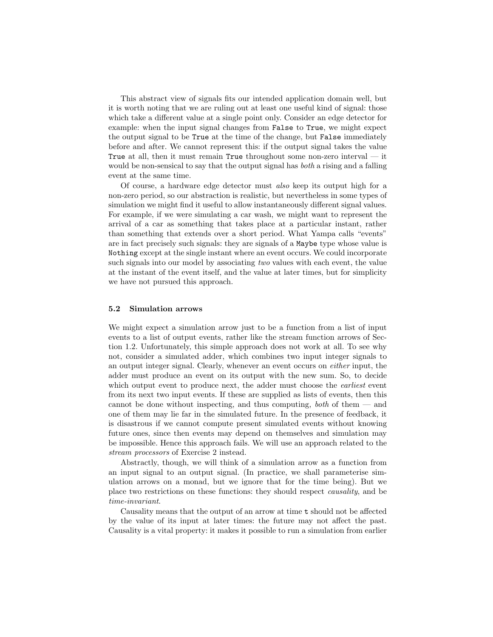This abstract view of signals fits our intended application domain well, but it is worth noting that we are ruling out at least one useful kind of signal: those which take a different value at a single point only. Consider an edge detector for example: when the input signal changes from False to True, we might expect the output signal to be True at the time of the change, but False immediately before and after. We cannot represent this: if the output signal takes the value True at all, then it must remain True throughout some non-zero interval — it would be non-sensical to say that the output signal has *both* a rising and a falling event at the same time.

Of course, a hardware edge detector must also keep its output high for a non-zero period, so our abstraction is realistic, but nevertheless in some types of simulation we might find it useful to allow instantaneously different signal values. For example, if we were simulating a car wash, we might want to represent the arrival of a car as something that takes place at a particular instant, rather than something that extends over a short period. What Yampa calls "events" are in fact precisely such signals: they are signals of a Maybe type whose value is Nothing except at the single instant where an event occurs. We could incorporate such signals into our model by associating two values with each event, the value at the instant of the event itself, and the value at later times, but for simplicity we have not pursued this approach.

### 5.2 Simulation arrows

We might expect a simulation arrow just to be a function from a list of input events to a list of output events, rather like the stream function arrows of Section 1.2. Unfortunately, this simple approach does not work at all. To see why not, consider a simulated adder, which combines two input integer signals to an output integer signal. Clearly, whenever an event occurs on either input, the adder must produce an event on its output with the new sum. So, to decide which output event to produce next, the adder must choose the *earliest* event from its next two input events. If these are supplied as lists of events, then this cannot be done without inspecting, and thus computing, both of them  $-$  and one of them may lie far in the simulated future. In the presence of feedback, it is disastrous if we cannot compute present simulated events without knowing future ones, since then events may depend on themselves and simulation may be impossible. Hence this approach fails. We will use an approach related to the stream processors of Exercise 2 instead.

Abstractly, though, we will think of a simulation arrow as a function from an input signal to an output signal. (In practice, we shall parameterise simulation arrows on a monad, but we ignore that for the time being). But we place two restrictions on these functions: they should respect causality, and be time-invariant.

Causality means that the output of an arrow at time t should not be affected by the value of its input at later times: the future may not affect the past. Causality is a vital property: it makes it possible to run a simulation from earlier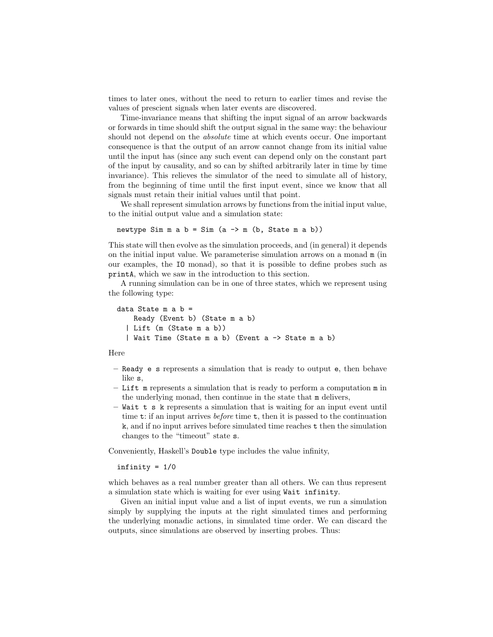times to later ones, without the need to return to earlier times and revise the values of prescient signals when later events are discovered.

Time-invariance means that shifting the input signal of an arrow backwards or forwards in time should shift the output signal in the same way: the behaviour should not depend on the absolute time at which events occur. One important consequence is that the output of an arrow cannot change from its initial value until the input has (since any such event can depend only on the constant part of the input by causality, and so can by shifted arbitrarily later in time by time invariance). This relieves the simulator of the need to simulate all of history, from the beginning of time until the first input event, since we know that all signals must retain their initial values until that point.

We shall represent simulation arrows by functions from the initial input value, to the initial output value and a simulation state:

newtype Sim m a  $b = Sim (a \rightarrow m (b, State m a b))$ 

This state will then evolve as the simulation proceeds, and (in general) it depends on the initial input value. We parameterise simulation arrows on a monad m (in our examples, the IO monad), so that it is possible to define probes such as printA, which we saw in the introduction to this section.

A running simulation can be in one of three states, which we represent using the following type:

```
data State m a b =
   Ready (Event b) (State m a b)
  | Lift (m (State m a b))
  | Wait Time (State m a b) (Event a -> State m a b)
```
Here

- Ready e s represents a simulation that is ready to output e, then behave like s,
- Lift m represents a simulation that is ready to perform a computation m in the underlying monad, then continue in the state that m delivers,
- Wait t s k represents a simulation that is waiting for an input event until time  $t$ : if an input arrives *before* time  $t$ , then it is passed to the continuation k, and if no input arrives before simulated time reaches t then the simulation changes to the "timeout" state s.

Conveniently, Haskell's Double type includes the value infinity,

 $infinite$  =  $1/0$ 

which behaves as a real number greater than all others. We can thus represent a simulation state which is waiting for ever using Wait infinity.

Given an initial input value and a list of input events, we run a simulation simply by supplying the inputs at the right simulated times and performing the underlying monadic actions, in simulated time order. We can discard the outputs, since simulations are observed by inserting probes. Thus: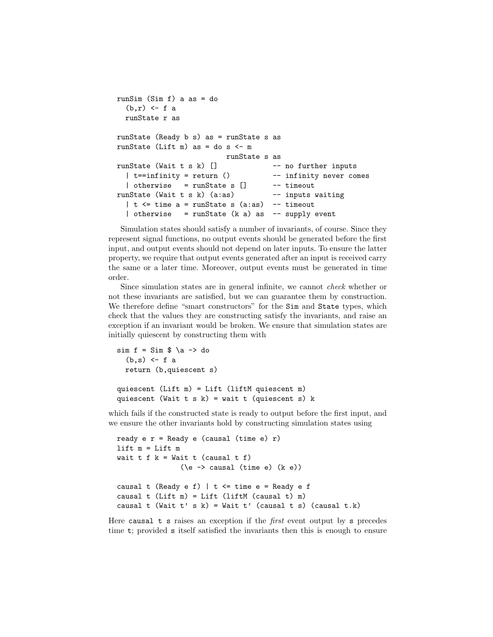```
runSim (Sim f) a as = do
  (b,r) \leftarrow f a
  runState r as
runState (Ready b s) as = runState s as
runState (Lift m) as = do s \leq - m
                        runState s as
runState (Wait t s k) [] -- no further inputs
  | t==infinity = return () - infinity never comes
  | otherwise = runState s [] -- timeout
runState (Wait t s k) (a:as) -- inputs waiting
  | t \leq t time a = runState s (a:as) -- timeout
  | otherwise = runState (k a) as - supply event
```
Simulation states should satisfy a number of invariants, of course. Since they represent signal functions, no output events should be generated before the first input, and output events should not depend on later inputs. To ensure the latter property, we require that output events generated after an input is received carry the same or a later time. Moreover, output events must be generated in time order.

Since simulation states are in general infinite, we cannot check whether or not these invariants are satisfied, but we can guarantee them by construction. We therefore define "smart constructors" for the Sim and State types, which check that the values they are constructing satisfy the invariants, and raise an exception if an invariant would be broken. We ensure that simulation states are initially quiescent by constructing them with

```
sim f = \text{Sim } \ \ \a -> do
  (b,s) \leftarrow f a
  return (b,quiescent s)
quiescent (Lift m) = Lift (liftM quiescent m)
quiescent (Wait t s k) = wait t (quiescent s) k
```
which fails if the constructed state is ready to output before the first input, and we ensure the other invariants hold by constructing simulation states using

```
ready e r = Ready e (causal (time e) r)
lift m = Lift m
wait t f k = Wait t (causal t f)(\e^{-} > \text{causal} (\text{time } e) (\& e))causal t (Ready e f) | t \le time e = Ready e f
causal t (Lift m) = Lift (liftM (causal t) m)
causal t (Wait t' s k) = Wait t' (causal t s) (causal t.k)
```
Here causal  $t$  s raises an exception if the *first* event output by s precedes time t; provided s itself satisfied the invariants then this is enough to ensure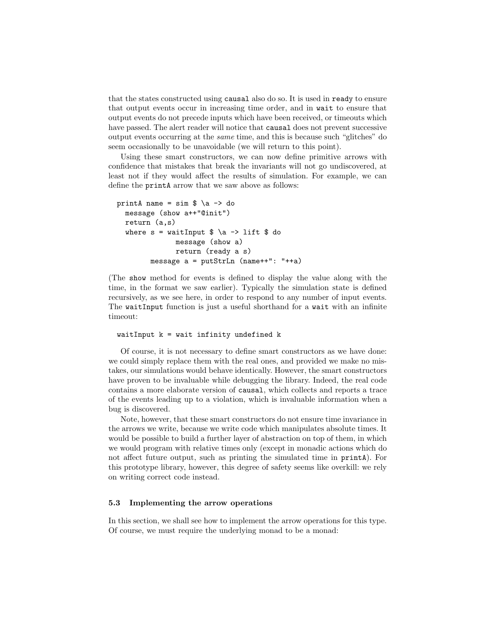that the states constructed using causal also do so. It is used in ready to ensure that output events occur in increasing time order, and in wait to ensure that output events do not precede inputs which have been received, or timeouts which have passed. The alert reader will notice that causal does not prevent successive output events occurring at the same time, and this is because such "glitches" do seem occasionally to be unavoidable (we will return to this point).

Using these smart constructors, we can now define primitive arrows with confidence that mistakes that break the invariants will not go undiscovered, at least not if they would affect the results of simulation. For example, we can define the printA arrow that we saw above as follows:

```
printA name = \sin $ \a -> do
  message (show a++"@init")
  return (a,s)
  where s = waitInput $ \a -> lift $ do
              message (show a)
              return (ready a s)
        message a = putStrLn (name++": "++a)
```
(The show method for events is defined to display the value along with the time, in the format we saw earlier). Typically the simulation state is defined recursively, as we see here, in order to respond to any number of input events. The waitInput function is just a useful shorthand for a wait with an infinite timeout:

### waitInput  $k = wait$  infinity undefined  $k$

Of course, it is not necessary to define smart constructors as we have done: we could simply replace them with the real ones, and provided we make no mistakes, our simulations would behave identically. However, the smart constructors have proven to be invaluable while debugging the library. Indeed, the real code contains a more elaborate version of causal, which collects and reports a trace of the events leading up to a violation, which is invaluable information when a bug is discovered.

Note, however, that these smart constructors do not ensure time invariance in the arrows we write, because we write code which manipulates absolute times. It would be possible to build a further layer of abstraction on top of them, in which we would program with relative times only (except in monadic actions which do not affect future output, such as printing the simulated time in printA). For this prototype library, however, this degree of safety seems like overkill: we rely on writing correct code instead.

## 5.3 Implementing the arrow operations

In this section, we shall see how to implement the arrow operations for this type. Of course, we must require the underlying monad to be a monad: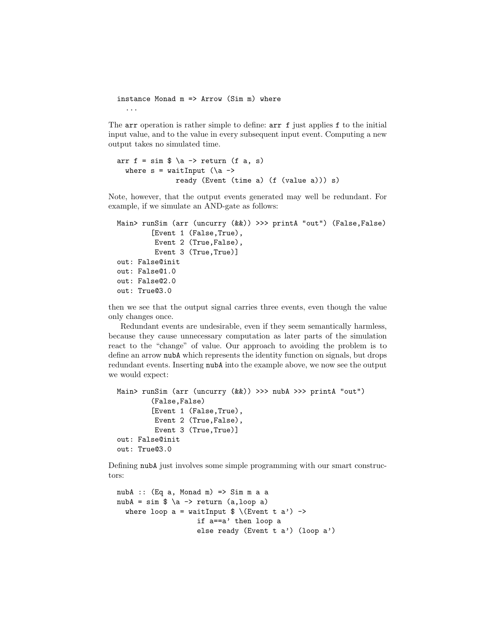```
instance Monad m \Rightarrow Arrow (Sim m) where
  ...
```
The arr operation is rather simple to define: arr f just applies f to the initial input value, and to the value in every subsequent input event. Computing a new output takes no simulated time.

```
arr f = sim \alpha \alpha -> return (f a, s)
  where s = waitInput (\a ->ready (Event (time a) (f (value a))) s)
```
Note, however, that the output events generated may well be redundant. For example, if we simulate an AND-gate as follows:

```
Main> runSim (arr (uncurry (&&)) >>> printA "out") (False, False)
        [Event 1 (False,True),
         Event 2 (True,False),
         Event 3 (True,True)]
out: False@init
out: False@1.0
out: False@2.0
out: True@3.0
```
then we see that the output signal carries three events, even though the value only changes once.

Redundant events are undesirable, even if they seem semantically harmless, because they cause unnecessary computation as later parts of the simulation react to the "change" of value. Our approach to avoiding the problem is to define an arrow nubA which represents the identity function on signals, but drops redundant events. Inserting nubA into the example above, we now see the output we would expect:

```
Main> runSim (arr (uncurry (kk)) >>> nubA >>> printA "out")
        (False,False)
        [Event 1 (False,True),
         Event 2 (True,False),
         Event 3 (True,True)]
out: False@init
out: True@3.0
```
Defining nubA just involves some simple programming with our smart constructors:

```
nubA :: (Eq a, Monad m) => Sim m a a
nubA = \sin $ \a -> return (a,loop a)
  where loop a = waitInput $ \(Event t a') ->
                   if a==a' then loop a
                   else ready (Event t a') (loop a')
```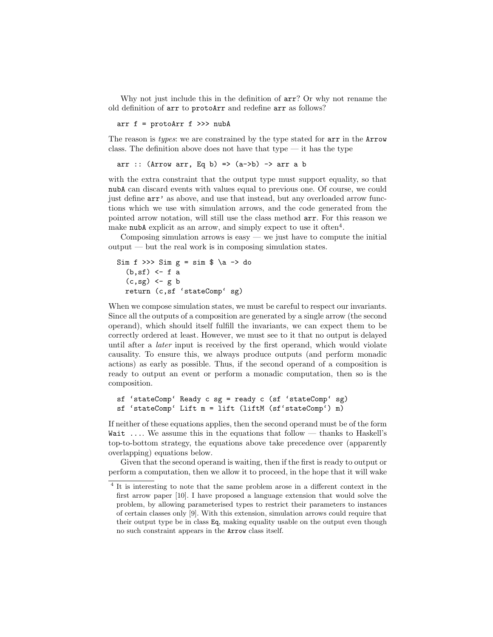Why not just include this in the definition of  $arr$ ? Or why not rename the old definition of arr to protoArr and redefine arr as follows?

arr  $f =$  protoArr  $f \gg$  nubA

The reason is *types*: we are constrained by the type stated for  $\arcsin$  in the Arrow class. The definition above does not have that type  $-$  it has the type

arr :: (Arrow arr, Eq b) =>  $(a->b)$  -> arr a b

with the extra constraint that the output type must support equality, so that nubA can discard events with values equal to previous one. Of course, we could just define  $arr'$  as above, and use that instead, but any overloaded arrow functions which we use with simulation arrows, and the code generated from the pointed arrow notation, will still use the class method arr. For this reason we make nubA explicit as an arrow, and simply expect to use it often<sup>4</sup>.

Composing simulation arrows is easy  $\sim$  we just have to compute the initial output — but the real work is in composing simulation states.

```
Sim f >>> Sim g = \sin \theta \ \a -> do
  (b, sf) \leftarrow f a
  (c, sg) <- g b
  return (c,sf 'stateComp' sg)
```
When we compose simulation states, we must be careful to respect our invariants. Since all the outputs of a composition are generated by a single arrow (the second operand), which should itself fulfill the invariants, we can expect them to be correctly ordered at least. However, we must see to it that no output is delayed until after a later input is received by the first operand, which would violate causality. To ensure this, we always produce outputs (and perform monadic actions) as early as possible. Thus, if the second operand of a composition is ready to output an event or perform a monadic computation, then so is the composition.

```
sf 'stateComp' Ready c sg = ready c (sf 'stateComp' sg)
sf 'stateComp' Lift m = lift (liftM (sf'stateComp') m)
```
If neither of these equations applies, then the second operand must be of the form Wait  $\dots$ . We assume this in the equations that follow — thanks to Haskell's top-to-bottom strategy, the equations above take precedence over (apparently overlapping) equations below.

Given that the second operand is waiting, then if the first is ready to output or perform a computation, then we allow it to proceed, in the hope that it will wake

<sup>&</sup>lt;sup>4</sup> It is interesting to note that the same problem arose in a different context in the first arrow paper [10]. I have proposed a language extension that would solve the problem, by allowing parameterised types to restrict their parameters to instances of certain classes only [9]. With this extension, simulation arrows could require that their output type be in class Eq, making equality usable on the output even though no such constraint appears in the Arrow class itself.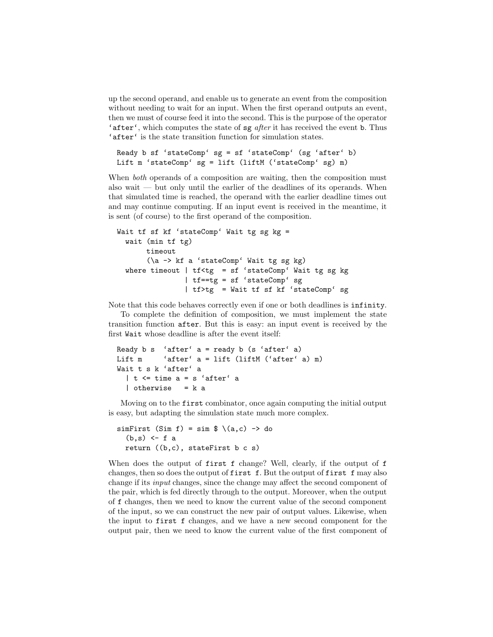up the second operand, and enable us to generate an event from the composition without needing to wait for an input. When the first operand outputs an event, then we must of course feed it into the second. This is the purpose of the operator 'after', which computes the state of  $sg\ after\ it$  has received the event b. Thus 'after' is the state transition function for simulation states.

```
Ready b sf 'stateComp' sg = sf 'stateComp' (sg 'after' b)
Lift m 'stateComp' sg = lift (liftM ('stateComp' sg) m)
```
When *both* operands of a composition are waiting, then the composition must also wait — but only until the earlier of the deadlines of its operands. When that simulated time is reached, the operand with the earlier deadline times out and may continue computing. If an input event is received in the meantime, it is sent (of course) to the first operand of the composition.

```
Wait tf sf kf 'stateComp' Wait tg sg kg =
  wait (min tf tg)
       timeout
       (\a -> kf a 'stateComp' Wait tg sg kg)
  where timeout | tf<tg = sf 'stateComp' Wait tg sg kg
                | tf==tg = sf 'stateComp' sg
                | tf>tg = Wait tf sf kf 'stateComp' sg
```
Note that this code behaves correctly even if one or both deadlines is infinity.

To complete the definition of composition, we must implement the state transition function after. But this is easy: an input event is received by the first Wait whose deadline is after the event itself:

```
Ready b s 'after' a = ready b (s 'after' a)
Lift m 'after' a = lift (liftM ('after' a) m)
Wait t s k 'after' a
  | t <= time a = s 'after' a
  | otherwise = k a
```
Moving on to the first combinator, once again computing the initial output is easy, but adapting the simulation state much more complex.

```
simFirst (Sim f) = sim \frac{1}{2} \(a,c) -> do
  (b,s) <- f a
  return ((b, c), stateFirst b \, c \, s)
```
When does the output of first f change? Well, clearly, if the output of f changes, then so does the output of first f. But the output of first f may also change if its input changes, since the change may affect the second component of the pair, which is fed directly through to the output. Moreover, when the output of f changes, then we need to know the current value of the second component of the input, so we can construct the new pair of output values. Likewise, when the input to first f changes, and we have a new second component for the output pair, then we need to know the current value of the first component of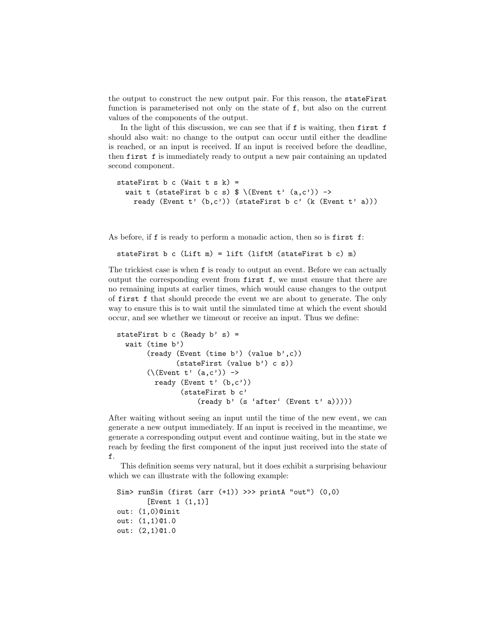the output to construct the new output pair. For this reason, the stateFirst function is parameterised not only on the state of f, but also on the current values of the components of the output.

In the light of this discussion, we can see that if f is waiting, then first f should also wait: no change to the output can occur until either the deadline is reached, or an input is received. If an input is received before the deadline, then first f is immediately ready to output a new pair containing an updated second component.

```
stateFirst b c (Wait t s k) =
  wait t (stateFirst b c s) \frac{1}{2} \(Event t' (a,c')) ->
    ready (Event t' (b,c')) (stateFirst b c' (k (Event t' a)))
```
As before, if f is ready to perform a monadic action, then so is first f:

```
stateFirst b c (Lift m) = lift (liftM (stateFirst b c) m)
```
The trickiest case is when f is ready to output an event. Before we can actually output the corresponding event from first f, we must ensure that there are no remaining inputs at earlier times, which would cause changes to the output of first f that should precede the event we are about to generate. The only way to ensure this is to wait until the simulated time at which the event should occur, and see whether we timeout or receive an input. Thus we define:

```
stateFirst b \nc (Ready b' \nsi =wait (time b')
        (ready (Event (time b') (value b',c))
                (stateFirst (value b') c s))
        (\text{Event } t' (a, c')) \rightarrowready (Event t' (b,c'))
                 (stateFirst b c'
                      (\text{ready } b' \text{ (s 'after' (Event t' a))))
```
After waiting without seeing an input until the time of the new event, we can generate a new output immediately. If an input is received in the meantime, we generate a corresponding output event and continue waiting, but in the state we reach by feeding the first component of the input just received into the state of f.

This definition seems very natural, but it does exhibit a surprising behaviour which we can illustrate with the following example:

```
Sim> runSim (first (arr (+1)) >>> printA "out") (0,0)[Event 1 (1,1)]
out: (1,0)@init
out: (1,1)@1.0
out: (2,1)@1.0
```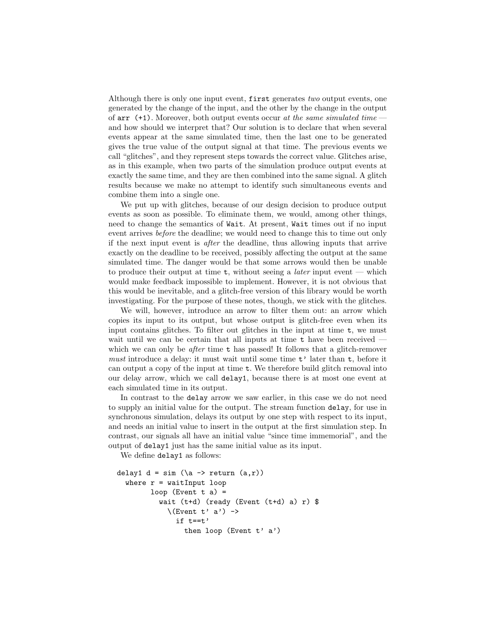Although there is only one input event, first generates two output events, one generated by the change of the input, and the other by the change in the output of  $arr$  (+1). Moreover, both output events occur at the same simulated time – and how should we interpret that? Our solution is to declare that when several events appear at the same simulated time, then the last one to be generated gives the true value of the output signal at that time. The previous events we call "glitches", and they represent steps towards the correct value. Glitches arise, as in this example, when two parts of the simulation produce output events at exactly the same time, and they are then combined into the same signal. A glitch results because we make no attempt to identify such simultaneous events and combine them into a single one.

We put up with glitches, because of our design decision to produce output events as soon as possible. To eliminate them, we would, among other things, need to change the semantics of Wait. At present, Wait times out if no input event arrives before the deadline; we would need to change this to time out only if the next input event is after the deadline, thus allowing inputs that arrive exactly on the deadline to be received, possibly affecting the output at the same simulated time. The danger would be that some arrows would then be unable to produce their output at time  $t$ , without seeing a *later* input event — which would make feedback impossible to implement. However, it is not obvious that this would be inevitable, and a glitch-free version of this library would be worth investigating. For the purpose of these notes, though, we stick with the glitches.

We will, however, introduce an arrow to filter them out: an arrow which copies its input to its output, but whose output is glitch-free even when its input contains glitches. To filter out glitches in the input at time t, we must wait until we can be certain that all inputs at time  $t$  have been received which we can only be *after* time **t** has passed! It follows that a glitch-remover must introduce a delay: it must wait until some time  $t'$  later than  $t$ , before it can output a copy of the input at time t. We therefore build glitch removal into our delay arrow, which we call delay1, because there is at most one event at each simulated time in its output.

In contrast to the delay arrow we saw earlier, in this case we do not need to supply an initial value for the output. The stream function delay, for use in synchronous simulation, delays its output by one step with respect to its input, and needs an initial value to insert in the output at the first simulation step. In contrast, our signals all have an initial value "since time immemorial", and the output of delay1 just has the same initial value as its input.

We define delay1 as follows:

```
delay1 d = sim (\a -) return (a, r)where r = waitInput loop
        loop (Event t a) =
          wait (t+d) (ready (Event (t+d) a) r) $
            \Gamma (Event t' a') ->
              if t==t'
                then loop (Event t' a')
```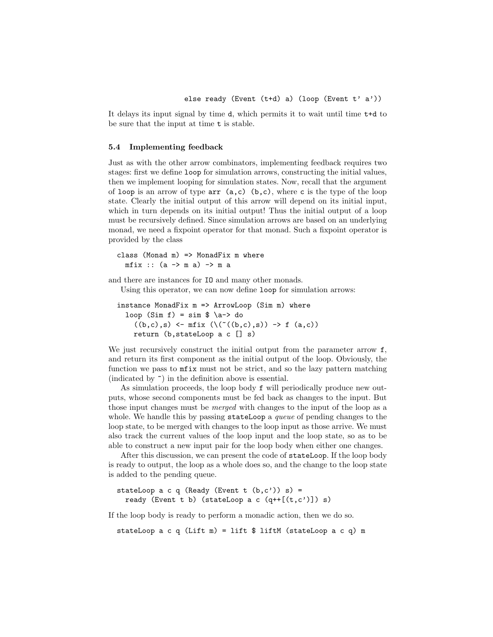It delays its input signal by time d, which permits it to wait until time t+d to be sure that the input at time t is stable.

### 5.4 Implementing feedback

Just as with the other arrow combinators, implementing feedback requires two stages: first we define loop for simulation arrows, constructing the initial values, then we implement looping for simulation states. Now, recall that the argument of loop is an arrow of type  $arr(a,c)$  (b,c), where c is the type of the loop state. Clearly the initial output of this arrow will depend on its initial input, which in turn depends on its initial output! Thus the initial output of a loop must be recursively defined. Since simulation arrows are based on an underlying monad, we need a fixpoint operator for that monad. Such a fixpoint operator is provided by the class

```
class (Monad m) => MonadFix m where
  mfix :: (a \rightarrow m a) \rightarrow m a
```
and there are instances for IO and many other monads.

Using this operator, we can now define loop for simulation arrows:

```
instance MonadFix m \Rightarrow ArrowLoop (Sim m) where
  loop (Sim f) = sim \alpha \a-> do
    ((b,c),s) <- mfix (\langle (b,c),s \rangle) -> f (a,c))
    return (b,stateLoop a c [] s)
```
We just recursively construct the initial output from the parameter arrow  $f$ , and return its first component as the initial output of the loop. Obviously, the function we pass to mfix must not be strict, and so the lazy pattern matching (indicated by ~) in the definition above is essential.

As simulation proceeds, the loop body f will periodically produce new outputs, whose second components must be fed back as changes to the input. But those input changes must be merged with changes to the input of the loop as a whole. We handle this by passing stateLoop a *queue* of pending changes to the loop state, to be merged with changes to the loop input as those arrive. We must also track the current values of the loop input and the loop state, so as to be able to construct a new input pair for the loop body when either one changes.

After this discussion, we can present the code of stateLoop. If the loop body is ready to output, the loop as a whole does so, and the change to the loop state is added to the pending queue.

```
stateLoop a c q (Ready (Event t (b, c')) s) =
  ready (Event t b) (stateLoop a c (q++[(t,c')]) s)
```
If the loop body is ready to perform a monadic action, then we do so.

stateLoop a c q (Lift m) = lift \$ liftM (stateLoop a c q) m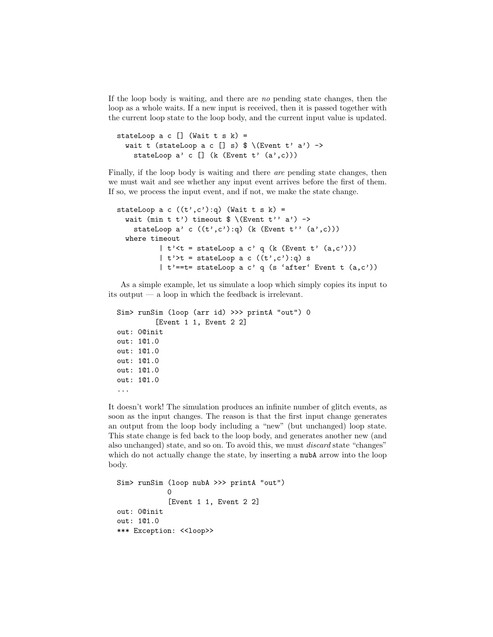If the loop body is waiting, and there are no pending state changes, then the loop as a whole waits. If a new input is received, then it is passed together with the current loop state to the loop body, and the current input value is updated.

```
stateLoop a \in [] (Wait t s k) =
  wait t (stateLoop a c [] s) \sqrt{s} \(Event t' a') ->
    stateLoop a' c [] (k (Event t' (a', c)))
```
Finally, if the loop body is waiting and there are pending state changes, then we must wait and see whether any input event arrives before the first of them. If so, we process the input event, and if not, we make the state change.

```
stateLoop a c ((t',c'):q) (Wait t s k) =
  wait (min t t') timeout \frac{1}{2} \(Event t'' a') ->
    stateLoop a' c ((t',c'):q) (k (Event t'' (a',c)))
  where timeout
          | t' <t = stateLoop a c' q (k (Event t' (a,c')))
          | t'>t = stateLoop a c ((t', c') : q) s
          | t'==t= stateLoop a c' q (s 'after' Event t (a,c'))
```
As a simple example, let us simulate a loop which simply copies its input to its output — a loop in which the feedback is irrelevant.

```
Sim> runSim (loop (arr id) >>> printA "out") 0
         [Event 1 1, Event 2 2]
out: 0@init
out: 1@1.0
out: 1@1.0
out: 1@1.0
out: 1@1.0
out: 1@1.0
...
```
It doesn't work! The simulation produces an infinite number of glitch events, as soon as the input changes. The reason is that the first input change generates an output from the loop body including a "new" (but unchanged) loop state. This state change is fed back to the loop body, and generates another new (and also unchanged) state, and so on. To avoid this, we must discard state "changes" which do not actually change the state, by inserting a nubA arrow into the loop body.

```
Sim> runSim (loop nubA >>> printA "out")
             \Omega[Event 1 1, Event 2 2]
out: 0@init
out: 1@1.0
*** Exception: <<loop>>
```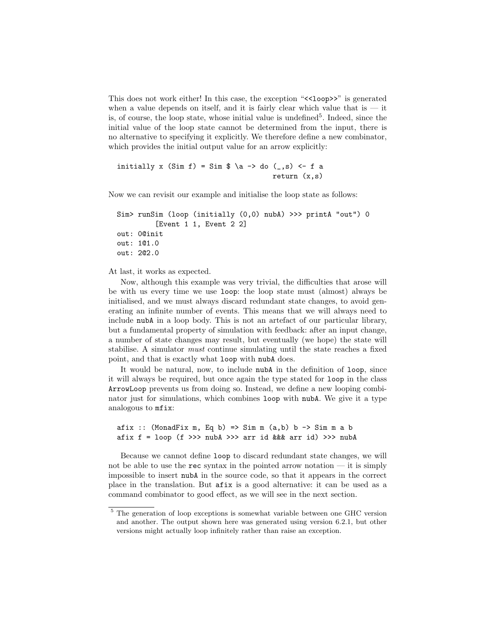This does not work either! In this case, the exception "<<loop>>" is generated when a value depends on itself, and it is fairly clear which value that is  $-$  it is, of course, the loop state, whose initial value is undefined<sup>5</sup>. Indeed, since the initial value of the loop state cannot be determined from the input, there is no alternative to specifying it explicitly. We therefore define a new combinator, which provides the initial output value for an arrow explicitly:

initially x  $(Sim f) = Sim $ \a > do (-, s) < - f a$ return (x,s)

Now we can revisit our example and initialise the loop state as follows:

```
Sim> runSim (loop (initially (0,0) nubA) >>> printA "out") 0
         [Event 1 1, Event 2 2]
out: 0@init
out: 1@1.0
out: 2@2.0
```
At last, it works as expected.

Now, although this example was very trivial, the difficulties that arose will be with us every time we use loop: the loop state must (almost) always be initialised, and we must always discard redundant state changes, to avoid generating an infinite number of events. This means that we will always need to include nubA in a loop body. This is not an artefact of our particular library, but a fundamental property of simulation with feedback: after an input change, a number of state changes may result, but eventually (we hope) the state will stabilise. A simulator must continue simulating until the state reaches a fixed point, and that is exactly what loop with nubA does.

It would be natural, now, to include nubA in the definition of loop, since it will always be required, but once again the type stated for loop in the class ArrowLoop prevents us from doing so. Instead, we define a new looping combinator just for simulations, which combines loop with nubA. We give it a type analogous to mfix:

```
afix :: (MonadFix m, Eq b) => Sim m (a,b) b -> Sim m a b
afix f = loop (f >>> nubA >>> arr id &&& arr id) >>> nubA
```
Because we cannot define loop to discard redundant state changes, we will not be able to use the rec syntax in the pointed arrow notation  $-$  it is simply impossible to insert nubA in the source code, so that it appears in the correct place in the translation. But afix is a good alternative: it can be used as a command combinator to good effect, as we will see in the next section.

<sup>5</sup> The generation of loop exceptions is somewhat variable between one GHC version and another. The output shown here was generated using version 6.2.1, but other versions might actually loop infinitely rather than raise an exception.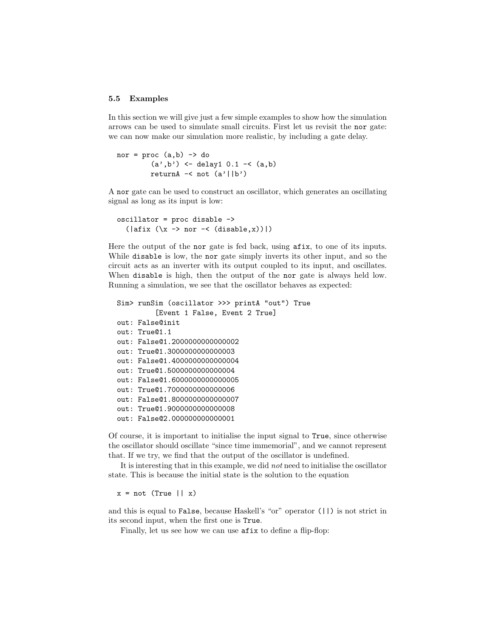#### 5.5 Examples

In this section we will give just a few simple examples to show how the simulation arrows can be used to simulate small circuits. First let us revisit the nor gate: we can now make our simulation more realistic, by including a gate delay.

```
nor = proc (a,b) -> do
        (a', b') <- delay1 0.1 -< (a, b)returnA -< not (a'||b')
```
A nor gate can be used to construct an oscillator, which generates an oscillating signal as long as its input is low:

```
oscillator = proc disable ->
   (|afix (\xrightarrow y \text{ nor } -\langle (disable, x) \rangle|)
```
Here the output of the nor gate is fed back, using  $afix$ , to one of its inputs. While disable is low, the nor gate simply inverts its other input, and so the circuit acts as an inverter with its output coupled to its input, and oscillates. When disable is high, then the output of the nor gate is always held low. Running a simulation, we see that the oscillator behaves as expected:

```
Sim> runSim (oscillator >>> printA "out") True
         [Event 1 False, Event 2 True]
out: False@init
out: True@1.1
out: False@1.2000000000000002
out: True@1.3000000000000003
out: False@1.4000000000000004
out: True@1.5000000000000004
out: False@1.6000000000000005
out: True@1.7000000000000006
out: False@1.8000000000000007
out: True@1.9000000000000008
out: False@2.000000000000001
```
Of course, it is important to initialise the input signal to True, since otherwise the oscillator should oscillate "since time immemorial", and we cannot represent that. If we try, we find that the output of the oscillator is undefined.

It is interesting that in this example, we did not need to initialise the oscillator state. This is because the initial state is the solution to the equation

#### $x = not (True || x)$

and this is equal to False, because Haskell's "or" operator (||) is not strict in its second input, when the first one is True.

Finally, let us see how we can use  $afix$  to define a flip-flop: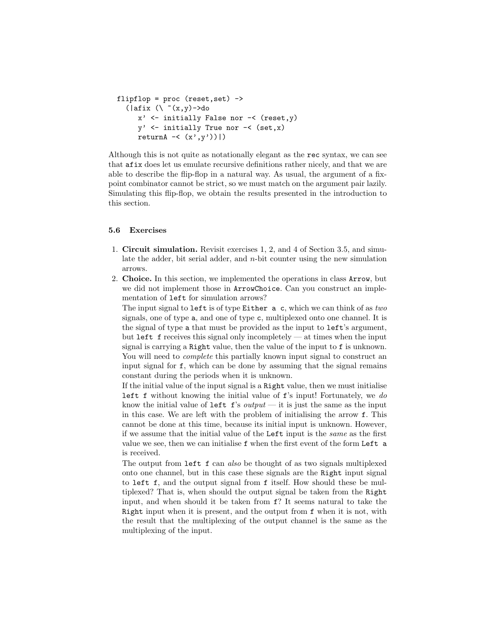```
flipflop = proc (reset,set) ->
  (\left|\text{afix }(\n\chi^*(x,y)-\text{c}\right|)x' <- initially False nor -< (reset, y)
      y' <- initially True nor -< (set, x)
      returnA \prec (x', y'))()
```
Although this is not quite as notationally elegant as the rec syntax, we can see that afix does let us emulate recursive definitions rather nicely, and that we are able to describe the flip-flop in a natural way. As usual, the argument of a fixpoint combinator cannot be strict, so we must match on the argument pair lazily. Simulating this flip-flop, we obtain the results presented in the introduction to this section.

### 5.6 Exercises

- 1. Circuit simulation. Revisit exercises 1, 2, and 4 of Section 3.5, and simulate the adder, bit serial adder, and  $n$ -bit counter using the new simulation arrows.
- 2. Choice. In this section, we implemented the operations in class Arrow, but we did not implement those in ArrowChoice. Can you construct an implementation of left for simulation arrows?

The input signal to left is of type Either  $a$  c, which we can think of as two signals, one of type a, and one of type c, multiplexed onto one channel. It is the signal of type a that must be provided as the input to left's argument, but left f receives this signal only incompletely — at times when the input signal is carrying a Right value, then the value of the input to f is unknown. You will need to *complete* this partially known input signal to construct an input signal for f, which can be done by assuming that the signal remains constant during the periods when it is unknown.

If the initial value of the input signal is a Right value, then we must initialise left f without knowing the initial value of f's input! Fortunately, we do know the initial value of left f's *output* — it is just the same as the input in this case. We are left with the problem of initialising the arrow f. This cannot be done at this time, because its initial input is unknown. However, if we assume that the initial value of the Left input is the same as the first value we see, then we can initialise f when the first event of the form Left a is received.

The output from left f can also be thought of as two signals multiplexed onto one channel, but in this case these signals are the Right input signal to left f, and the output signal from f itself. How should these be multiplexed? That is, when should the output signal be taken from the Right input, and when should it be taken from f? It seems natural to take the Right input when it is present, and the output from f when it is not, with the result that the multiplexing of the output channel is the same as the multiplexing of the input.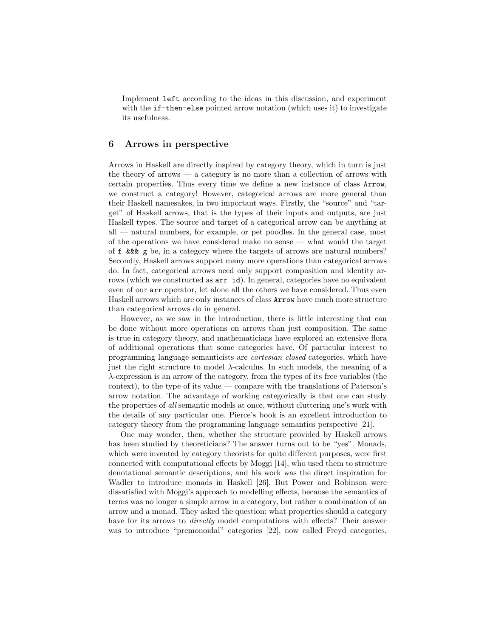Implement left according to the ideas in this discussion, and experiment with the **if-then-else** pointed arrow notation (which uses it) to investigate its usefulness.

## 6 Arrows in perspective

Arrows in Haskell are directly inspired by category theory, which in turn is just the theory of arrows — a category is no more than a collection of arrows with certain properties. Thus every time we define a new instance of class Arrow, we construct a category! However, categorical arrows are more general than their Haskell namesakes, in two important ways. Firstly, the "source" and "target" of Haskell arrows, that is the types of their inputs and outputs, are just Haskell types. The source and target of a categorical arrow can be anything at all — natural numbers, for example, or pet poodles. In the general case, most of the operations we have considered make no sense — what would the target of f &&& g be, in a category where the targets of arrows are natural numbers? Secondly, Haskell arrows support many more operations than categorical arrows do. In fact, categorical arrows need only support composition and identity arrows (which we constructed as  $arr \textbf{id}$ ). In general, categories have no equivalent even of our arr operator, let alone all the others we have considered. Thus even Haskell arrows which are only instances of class Arrow have much more structure than categorical arrows do in general.

However, as we saw in the introduction, there is little interesting that can be done without more operations on arrows than just composition. The same is true in category theory, and mathematicians have explored an extensive flora of additional operations that some categories have. Of particular interest to programming language semanticists are cartesian closed categories, which have just the right structure to model  $\lambda$ -calculus. In such models, the meaning of a λ-expression is an arrow of the category, from the types of its free variables (the context), to the type of its value — compare with the translations of Paterson's arrow notation. The advantage of working categorically is that one can study the properties of all semantic models at once, without cluttering one's work with the details of any particular one. Pierce's book is an excellent introduction to category theory from the programming language semantics perspective [21].

One may wonder, then, whether the structure provided by Haskell arrows has been studied by theoreticians? The answer turns out to be "yes". Monads, which were invented by category theorists for quite different purposes, were first connected with computational effects by Moggi [14], who used them to structure denotational semantic descriptions, and his work was the direct inspiration for Wadler to introduce monads in Haskell [26]. But Power and Robinson were dissatisfied with Moggi's approach to modelling effects, because the semantics of terms was no longer a simple arrow in a category, but rather a combination of an arrow and a monad. They asked the question: what properties should a category have for its arrows to *directly* model computations with effects? Their answer was to introduce "premonoidal" categories [22], now called Freyd categories,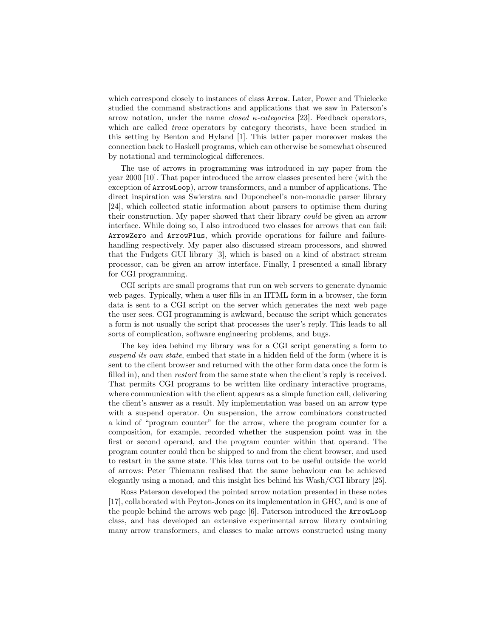which correspond closely to instances of class **Arrow**. Later, Power and Thielecke studied the command abstractions and applications that we saw in Paterson's arrow notation, under the name *closed κ-categories* [23]. Feedback operators, which are called *trace* operators by category theorists, have been studied in this setting by Benton and Hyland [1]. This latter paper moreover makes the connection back to Haskell programs, which can otherwise be somewhat obscured by notational and terminological differences.

The use of arrows in programming was introduced in my paper from the year 2000 [10]. That paper introduced the arrow classes presented here (with the exception of ArrowLoop), arrow transformers, and a number of applications. The direct inspiration was Swierstra and Duponcheel's non-monadic parser library [24], which collected static information about parsers to optimise them during their construction. My paper showed that their library could be given an arrow interface. While doing so, I also introduced two classes for arrows that can fail: ArrowZero and ArrowPlus, which provide operations for failure and failurehandling respectively. My paper also discussed stream processors, and showed that the Fudgets GUI library [3], which is based on a kind of abstract stream processor, can be given an arrow interface. Finally, I presented a small library for CGI programming.

CGI scripts are small programs that run on web servers to generate dynamic web pages. Typically, when a user fills in an HTML form in a browser, the form data is sent to a CGI script on the server which generates the next web page the user sees. CGI programming is awkward, because the script which generates a form is not usually the script that processes the user's reply. This leads to all sorts of complication, software engineering problems, and bugs.

The key idea behind my library was for a CGI script generating a form to suspend its own state, embed that state in a hidden field of the form (where it is sent to the client browser and returned with the other form data once the form is filled in), and then *restart* from the same state when the client's reply is received. That permits CGI programs to be written like ordinary interactive programs, where communication with the client appears as a simple function call, delivering the client's answer as a result. My implementation was based on an arrow type with a suspend operator. On suspension, the arrow combinators constructed a kind of "program counter" for the arrow, where the program counter for a composition, for example, recorded whether the suspension point was in the first or second operand, and the program counter within that operand. The program counter could then be shipped to and from the client browser, and used to restart in the same state. This idea turns out to be useful outside the world of arrows: Peter Thiemann realised that the same behaviour can be achieved elegantly using a monad, and this insight lies behind his Wash/CGI library [25].

Ross Paterson developed the pointed arrow notation presented in these notes [17], collaborated with Peyton-Jones on its implementation in GHC, and is one of the people behind the arrows web page [6]. Paterson introduced the ArrowLoop class, and has developed an extensive experimental arrow library containing many arrow transformers, and classes to make arrows constructed using many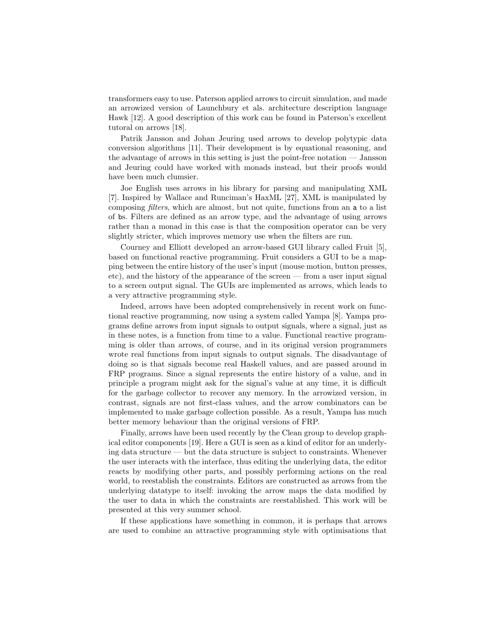transformers easy to use. Paterson applied arrows to circuit simulation, and made an arrowized version of Launchbury et als. architecture description language Hawk [12]. A good description of this work can be found in Paterson's excellent tutoral on arrows [18].

Patrik Jansson and Johan Jeuring used arrows to develop polytypic data conversion algorithms [11]. Their development is by equational reasoning, and the advantage of arrows in this setting is just the point-free notation — Jansson and Jeuring could have worked with monads instead, but their proofs would have been much clumsier.

Joe English uses arrows in his library for parsing and manipulating XML [7]. Inspired by Wallace and Runciman's HaxML [27], XML is manipulated by composing filters, which are almost, but not quite, functions from an a to a list of bs. Filters are defined as an arrow type, and the advantage of using arrows rather than a monad in this case is that the composition operator can be very slightly stricter, which improves memory use when the filters are run.

Courney and Elliott developed an arrow-based GUI library called Fruit [5], based on functional reactive programming. Fruit considers a GUI to be a mapping between the entire history of the user's input (mouse motion, button presses, etc), and the history of the appearance of the screen — from a user input signal to a screen output signal. The GUIs are implemented as arrows, which leads to a very attractive programming style.

Indeed, arrows have been adopted comprehensively in recent work on functional reactive programming, now using a system called Yampa [8]. Yampa programs define arrows from input signals to output signals, where a signal, just as in these notes, is a function from time to a value. Functional reactive programming is older than arrows, of course, and in its original version programmers wrote real functions from input signals to output signals. The disadvantage of doing so is that signals become real Haskell values, and are passed around in FRP programs. Since a signal represents the entire history of a value, and in principle a program might ask for the signal's value at any time, it is difficult for the garbage collector to recover any memory. In the arrowized version, in contrast, signals are not first-class values, and the arrow combinators can be implemented to make garbage collection possible. As a result, Yampa has much better memory behaviour than the original versions of FRP.

Finally, arrows have been used recently by the Clean group to develop graphical editor components [19]. Here a GUI is seen as a kind of editor for an underlying data structure — but the data structure is subject to constraints. Whenever the user interacts with the interface, thus editing the underlying data, the editor reacts by modifying other parts, and possibly performing actions on the real world, to reestablish the constraints. Editors are constructed as arrows from the underlying datatype to itself: invoking the arrow maps the data modified by the user to data in which the constraints are reestablished. This work will be presented at this very summer school.

If these applications have something in common, it is perhaps that arrows are used to combine an attractive programming style with optimisations that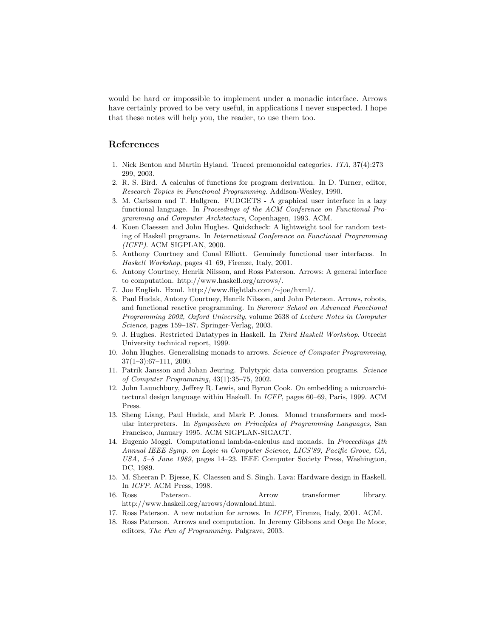would be hard or impossible to implement under a monadic interface. Arrows have certainly proved to be very useful, in applications I never suspected. I hope that these notes will help you, the reader, to use them too.

## References

- 1. Nick Benton and Martin Hyland. Traced premonoidal categories. ITA, 37(4):273– 299, 2003.
- 2. R. S. Bird. A calculus of functions for program derivation. In D. Turner, editor, Research Topics in Functional Programming. Addison-Wesley, 1990.
- 3. M. Carlsson and T. Hallgren. FUDGETS A graphical user interface in a lazy functional language. In Proceedings of the ACM Conference on Functional Programming and Computer Architecture, Copenhagen, 1993. ACM.
- 4. Koen Claessen and John Hughes. Quickcheck: A lightweight tool for random testing of Haskell programs. In International Conference on Functional Programming (ICFP). ACM SIGPLAN, 2000.
- 5. Anthony Courtney and Conal Elliott. Genuinely functional user interfaces. In Haskell Workshop, pages 41–69, Firenze, Italy, 2001.
- 6. Antony Courtney, Henrik Nilsson, and Ross Paterson. Arrows: A general interface to computation. http://www.haskell.org/arrows/.
- 7. Joe English. Hxml. http://www.flightlab.com/∼joe/hxml/.
- 8. Paul Hudak, Antony Courtney, Henrik Nilsson, and John Peterson. Arrows, robots, and functional reactive programming. In Summer School on Advanced Functional Programming 2002, Oxford University, volume 2638 of Lecture Notes in Computer Science, pages 159–187. Springer-Verlag, 2003.
- 9. J. Hughes. Restricted Datatypes in Haskell. In Third Haskell Workshop. Utrecht University technical report, 1999.
- 10. John Hughes. Generalising monads to arrows. Science of Computer Programming, 37(1–3):67–111, 2000.
- 11. Patrik Jansson and Johan Jeuring. Polytypic data conversion programs. Science of Computer Programming, 43(1):35–75, 2002.
- 12. John Launchbury, Jeffrey R. Lewis, and Byron Cook. On embedding a microarchitectural design language within Haskell. In ICFP, pages 60–69, Paris, 1999. ACM Press.
- 13. Sheng Liang, Paul Hudak, and Mark P. Jones. Monad transformers and modular interpreters. In Symposium on Principles of Programming Languages, San Francisco, January 1995. ACM SIGPLAN-SIGACT.
- 14. Eugenio Moggi. Computational lambda-calculus and monads. In Proceedings 4th Annual IEEE Symp. on Logic in Computer Science, LICS'89, Pacific Grove, CA, USA, 5–8 June 1989, pages 14–23. IEEE Computer Society Press, Washington, DC, 1989.
- 15. M. Sheeran P. Bjesse, K. Claessen and S. Singh. Lava: Hardware design in Haskell. In ICFP. ACM Press, 1998.
- 16. Ross Paterson. Arrow transformer library. http://www.haskell.org/arrows/download.html.
- 17. Ross Paterson. A new notation for arrows. In ICFP, Firenze, Italy, 2001. ACM.
- 18. Ross Paterson. Arrows and computation. In Jeremy Gibbons and Oege De Moor, editors, The Fun of Programming. Palgrave, 2003.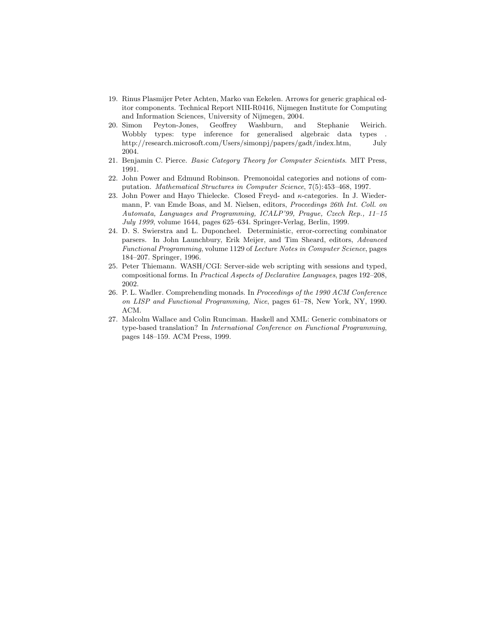- 19. Rinus Plasmijer Peter Achten, Marko van Eekelen. Arrows for generic graphical editor components. Technical Report NIII-R0416, Nijmegen Institute for Computing and Information Sciences, University of Nijmegen, 2004.
- 20. Simon Peyton-Jones, Geoffrey Washburn, and Stephanie Weirich. Wobbly types: type inference for generalised algebraic data types http://research.microsoft.com/Users/simonpj/papers/gadt/index.htm, July 2004.
- 21. Benjamin C. Pierce. Basic Category Theory for Computer Scientists. MIT Press, 1991.
- 22. John Power and Edmund Robinson. Premonoidal categories and notions of computation. Mathematical Structures in Computer Science, 7(5):453–468, 1997.
- 23. John Power and Hayo Thielecke. Closed Freyd- and κ-categories. In J. Wiedermann, P. van Emde Boas, and M. Nielsen, editors, Proceedings 26th Int. Coll. on Automata, Languages and Programming, ICALP'99, Prague, Czech Rep., 11–15 July 1999, volume 1644, pages 625–634. Springer-Verlag, Berlin, 1999.
- 24. D. S. Swierstra and L. Duponcheel. Deterministic, error-correcting combinator parsers. In John Launchbury, Erik Meijer, and Tim Sheard, editors, Advanced Functional Programming, volume 1129 of Lecture Notes in Computer Science, pages 184–207. Springer, 1996.
- 25. Peter Thiemann. WASH/CGI: Server-side web scripting with sessions and typed, compositional forms. In Practical Aspects of Declarative Languages, pages 192–208, 2002.
- 26. P. L. Wadler. Comprehending monads. In Proceedings of the 1990 ACM Conference on LISP and Functional Programming, Nice, pages 61–78, New York, NY, 1990. ACM.
- 27. Malcolm Wallace and Colin Runciman. Haskell and XML: Generic combinators or type-based translation? In International Conference on Functional Programming, pages 148–159. ACM Press, 1999.